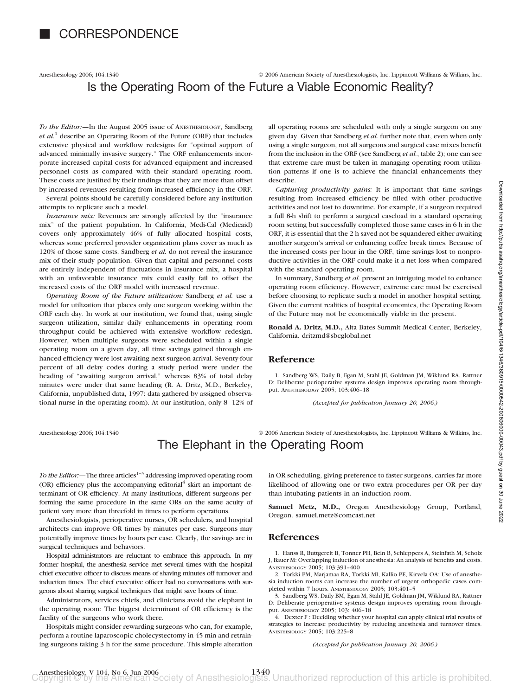Anesthesiology 2006; 104:1340 © 2006 American Society of Anesthesiologists, Inc. Lippincott Williams & Wilkins, Inc.

## Is the Operating Room of the Future a Viable Economic Reality?

*To the Editor:—*In the August 2005 issue of ANESTHESIOLOGY, Sandberg *et al.*<sup>1</sup> describe an Operating Room of the Future (ORF) that includes extensive physical and workflow redesigns for "optimal support of advanced minimally invasive surgery." The ORF enhancements incorporate increased capital costs for advanced equipment and increased personnel costs as compared with their standard operating room. These costs are justified by their findings that they are more than offset by increased revenues resulting from increased efficiency in the ORF.

Several points should be carefully considered before any institution attempts to replicate such a model.

*Insurance mix:* Revenues are strongly affected by the "insurance" mix" of the patient population. In California, Medi-Cal (Medicaid) covers only approximately 46% of fully allocated hospital costs, whereas some preferred provider organization plans cover as much as 120% of those same costs. Sandberg *et al.* do not reveal the insurance mix of their study population. Given that capital and personnel costs are entirely independent of fluctuations in insurance mix, a hospital with an unfavorable insurance mix could easily fail to offset the increased costs of the ORF model with increased revenue.

*Operating Room of the Future utilization:* Sandberg *et al.* use a model for utilization that places only one surgeon working within the ORF each day. In work at our institution, we found that, using single surgeon utilization, similar daily enhancements in operating room throughput could be achieved with extensive workflow redesign. However, when multiple surgeons were scheduled within a single operating room on a given day, all time savings gained through enhanced efficiency were lost awaiting next surgeon arrival. Seventy-four percent of all delay codes during a study period were under the heading of "awaiting surgeon arrival," whereas 83% of total delay minutes were under that same heading (R. A. Dritz, M.D., Berkeley, California, unpublished data, 1997: data gathered by assigned observational nurse in the operating room). At our institution, only 8 –12% of

all operating rooms are scheduled with only a single surgeon on any given day. Given that Sandberg *et al.* further note that, even when only using a single surgeon, not all surgeons and surgical case mixes benefit from the inclusion in the ORF (see Sandberg *et al.*, table 2); one can see that extreme care must be taken in managing operating room utilization patterns if one is to achieve the financial enhancements they describe.

*Capturing productivity gains:* It is important that time savings resulting from increased efficiency be filled with other productive activities and not lost to downtime. For example, if a surgeon required a full 8-h shift to perform a surgical caseload in a standard operating room setting but successfully completed those same cases in 6 h in the ORF, it is essential that the 2 h saved not be squandered either awaiting another surgeon's arrival or enhancing coffee break times. Because of the increased costs per hour in the ORF, time savings lost to nonproductive activities in the ORF could make it a net loss when compared with the standard operating room.

In summary, Sandberg *et al.* present an intriguing model to enhance operating room efficiency. However, extreme care must be exercised before choosing to replicate such a model in another hospital setting. Given the current realities of hospital economics, the Operating Room of the Future may not be economically viable in the present.

**Ronald A. Dritz, M.D.,** Alta Bates Summit Medical Center, Berkeley, California. dritzmd@sbcglobal.net

#### **Reference**

1. Sandberg WS, Daily B, Egan M, Stahl JE, Goldman JM, Wiklund RA, Rattner D: Deliberate perioperative systems design improves operating room throughput. ANESTHESIOLOGY 2005; 103:406–18

*(Accepted for publication January 20, 2006.)*

Anesthesiology 2006; 104:1340 © 2006 American Society of Anesthesiologists, Inc. Lippincott Williams & Wilkins, Inc.

# The Elephant in the Operating Room

*To the Editor:*—The three articles<sup>1-3</sup> addressing improved operating room (OR) efficiency plus the accompanying editorial<sup>4</sup> skirt an important determinant of OR efficiency. At many institutions, different surgeons performing the same procedure in the same ORs on the same acuity of patient vary more than threefold in times to perform operations.

Anesthesiologists, perioperative nurses, OR schedulers, and hospital architects can improve OR times by minutes per case. Surgeons may potentially improve times by hours per case. Clearly, the savings are in surgical techniques and behaviors.

Hospital administrators are reluctant to embrace this approach. In my former hospital, the anesthesia service met several times with the hospital chief executive officer to discuss means of shaving minutes off turnover and induction times. The chief executive officer had no conversations with surgeons about sharing surgical techniques that might save hours of time.

Administrators, services chiefs, and clinicians avoid the elephant in the operating room: The biggest determinant of OR efficiency is the facility of the surgeons who work there.

Hospitals might consider rewarding surgeons who can, for example, perform a routine laparoscopic cholecystectomy in 45 min and retraining surgeons taking 3 h for the same procedure. This simple alteration in OR scheduling, giving preference to faster surgeons, carries far more likelihood of allowing one or two extra procedures per OR per day than intubating patients in an induction room.

**Samuel Metz, M.D.,** Oregon Anesthesiology Group, Portland, Oregon. samuel.metz@comcast.net

#### **References**

1. Hanss R, Buttgereit B, Tonner PH, Bein B, Schleppers A, Steinfath M, Scholz J, Bauer M: Overlapping induction of anesthesia: An analysis of benefits and costs. ANESTHESIOLOGY 2005; 103:391–400

2. Torkki PM, Marjamaa RA, Torkki MI, Kallio PE, Kirvela OA: Use of anesthesia induction rooms can increase the number of urgent orthopedic cases completed within 7 hours. ANESTHESIOLOGY 2005; 103:401–5

3. Sandberg WS, Daily BM, Egan M, Stahl JE, Goldman JM, Wiklund RA, Rattner D: Deliberate perioperative systems design improves operating room throughput. ANESTHESIOLOGY 2005; 103: 406–18

4. Dexter F : Deciding whether your hospital can apply clinical trial results of strategies to increase productivity by reducing anesthesia and turnover times. ANESTHESIOLOGY 2005; 103:225–8

#### *(Accepted for publication January 20, 2006.)*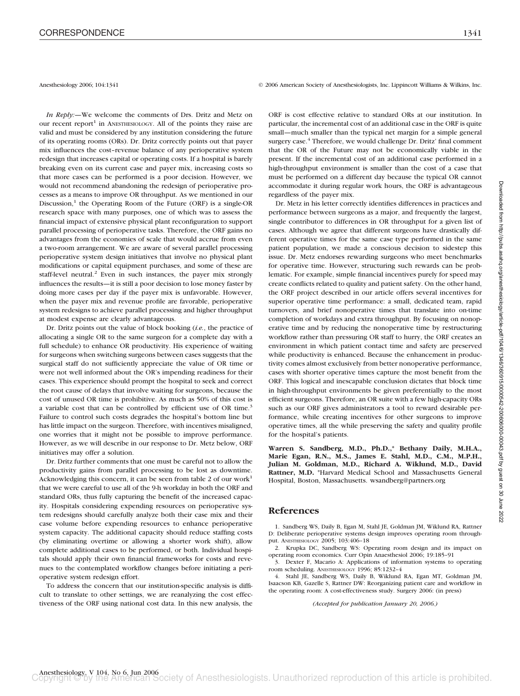*In Reply:*—We welcome the comments of Drs. Dritz and Metz on our recent report<sup>1</sup> in ANESTHESIOLOGY. All of the points they raise are valid and must be considered by any institution considering the future of its operating rooms (ORs). Dr. Dritz correctly points out that payer mix influences the cost–revenue balance of any perioperative system redesign that increases capital or operating costs. If a hospital is barely breaking even on its current case and payer mix, increasing costs so that more cases can be performed is a poor decision. However, we would not recommend abandoning the redesign of perioperative processes as a means to improve OR throughput. As we mentioned in our Discussion, $<sup>1</sup>$  the Operating Room of the Future (ORF) is a single-OR</sup> research space with many purposes, one of which was to assess the financial impact of extensive physical plant reconfiguration to support parallel processing of perioperative tasks. Therefore, the ORF gains no advantages from the economies of scale that would accrue from even a two-room arrangement. We are aware of several parallel processing perioperative system design initiatives that involve no physical plant modifications or capital equipment purchases, and some of these are staff-level neutral.<sup>2</sup> Even in such instances, the payer mix strongly influences the results—it is still a poor decision to lose money faster by doing more cases per day if the payer mix is unfavorable. However, when the payer mix and revenue profile are favorable, perioperative system redesigns to achieve parallel processing and higher throughput at modest expense are clearly advantageous.

Dr. Dritz points out the value of block booking (*i.e.*, the practice of allocating a single OR to the same surgeon for a complete day with a full schedule) to enhance OR productivity. His experience of waiting for surgeons when switching surgeons between cases suggests that the surgical staff do not sufficiently appreciate the value of OR time or were not well informed about the OR's impending readiness for their cases. This experience should prompt the hospital to seek and correct the root cause of delays that involve waiting for surgeons, because the cost of unused OR time is prohibitive. As much as 50% of this cost is a variable cost that can be controlled by efficient use of OR time.<sup>3</sup> Failure to control such costs degrades the hospital's bottom line but has little impact on the surgeon. Therefore, with incentives misaligned, one worries that it might not be possible to improve performance. However, as we will describe in our response to Dr. Metz below, ORF initiatives may offer a solution.

Dr. Dritz further comments that one must be careful not to allow the productivity gains from parallel processing to be lost as downtime. Acknowledging this concern, it can be seen from table 2 of our work<sup>1</sup> that we were careful to use all of the 9-h workday in both the ORF and standard ORs, thus fully capturing the benefit of the increased capacity. Hospitals considering expending resources on perioperative system redesigns should carefully analyze both their case mix and their case volume before expending resources to enhance perioperative system capacity. The additional capacity should reduce staffing costs (by eliminating overtime or allowing a shorter work shift), allow complete additional cases to be performed, or both. Individual hospitals should apply their own financial frameworks for costs and revenues to the contemplated workflow changes before initiating a perioperative system redesign effort.

To address the concern that our institution-specific analysis is difficult to translate to other settings, we are reanalyzing the cost effectiveness of the ORF using national cost data. In this new analysis, the

Anesthesiology 2006; 104:1341 © 2006 American Society of Anesthesiologists, Inc. Lippincott Williams & Wilkins, Inc.

ORF is cost effective relative to standard ORs at our institution. In particular, the incremental cost of an additional case in the ORF is quite small—much smaller than the typical net margin for a simple general surgery case.<sup>4</sup> Therefore, we would challenge Dr. Dritz' final comment that the OR of the Future may not be economically viable in the present. If the incremental cost of an additional case performed in a high-throughput environment is smaller than the cost of a case that must be performed on a different day because the typical OR cannot accommodate it during regular work hours, the ORF is advantageous regardless of the payer mix.

Dr. Metz in his letter correctly identifies differences in practices and performance between surgeons as a major, and frequently the largest, single contributor to differences in OR throughput for a given list of cases. Although we agree that different surgeons have drastically different operative times for the same case type performed in the same patient population, we made a conscious decision to sidestep this issue. Dr. Metz endorses rewarding surgeons who meet benchmarks for operative time. However, structuring such rewards can be problematic. For example, simple financial incentives purely for speed may create conflicts related to quality and patient safety. On the other hand, the ORF project described in our article offers several incentives for superior operative time performance: a small, dedicated team, rapid turnovers, and brief nonoperative times that translate into on-time completion of workdays and extra throughput. By focusing on nonoperative time and by reducing the nonoperative time by restructuring workflow rather than pressuring OR staff to hurry, the ORF creates an environment in which patient contact time and safety are preserved while productivity is enhanced. Because the enhancement in productivity comes almost exclusively from better nonoperative performance, cases with shorter operative times capture the most benefit from the ORF. This logical and inescapable conclusion dictates that block time in high-throughput environments be given preferentially to the most efficient surgeons. Therefore, an OR suite with a few high-capacity ORs such as our ORF gives administrators a tool to reward desirable performance, while creating incentives for other surgeons to improve operative times, all the while preserving the safety and quality profile for the hospital's patients.

**Warren S. Sandberg, M.D., Ph.D.,\* Bethany Daily, M.H.A., Marie Egan, R.N., M.S., James E. Stahl, M.D., C.M., M.P.H., Julian M. Goldman, M.D., Richard A. Wiklund, M.D., David Rattner, M.D.** \*Harvard Medical School and Massachusetts General Hospital, Boston, Massachusetts. wsandberg@partners.org

#### **References**

1. Sandberg WS, Daily B, Egan M, Stahl JE, Goldman JM, Wiklund RA, Rattner D: Deliberate perioperative systems design improves operating room throughput. ANESTHESIOLOGY 2005; 103:406–18

2. Krupka DC, Sandberg WS: Operating room design and its impact on operating room economics. Curr Opin Anaesthesiol 2006; 19:185–91

3. Dexter F, Macario A: Applications of information systems to operating room scheduling. ANESTHESIOLOGY 1996; 85:1232–4

4. Stahl JE, Sandberg WS, Daily B, Wiklund RA, Egan MT, Goldman JM, Isaacson KB, Gazelle S, Rattner DW: Reorganizing patient care and workflow in the operating room: A cost-effectiveness study. Surgery 2006: (in press)

*(Accepted for publication January 20, 2006.)*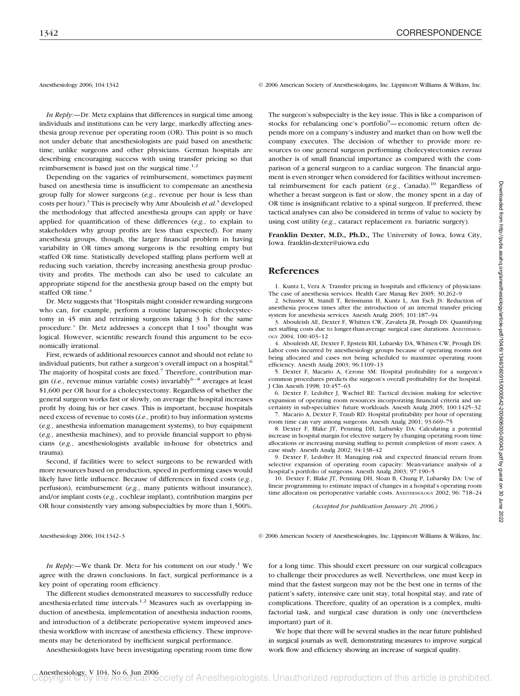Anesthesiology 2006; 104:1342 <sup>©</sup> 2006 American Society of Anesthesiologists, Inc. Lippincott Williams & Wilkins, Inc.

*In Reply:—*Dr. Metz explains that differences in surgical time among individuals and institutions can be very large, markedly affecting anesthesia group revenue per operating room (OR). This point is so much not under debate that anesthesiologists are paid based on anesthetic time, unlike surgeons and other physicians. German hospitals are describing encouraging success with using transfer pricing so that reimbursement is based just on the surgical time.<sup>1,2</sup>

Depending on the vagaries of reimbursement, sometimes payment based on anesthesia time is insufficient to compensate an anesthesia group fully for slower surgeons (*e.g.*, revenue per hour is less than costs per hour).3 This is precisely why Amr Abouleish *et al.*<sup>3</sup> developed the methodology that affected anesthesia groups can apply or have applied for quantification of these differences (*e.g.*, to explain to stakeholders why group profits are less than expected). For many anesthesia groups, though, the larger financial problem in having variability in OR times among surgeons is the resulting empty but staffed OR time. Statistically developed staffing plans perform well at reducing such variation, thereby increasing anesthesia group productivity and profits. The methods can also be used to calculate an appropriate stipend for the anesthesia group based on the empty but staffed OR time.<sup>4</sup>

Dr. Metz suggests that "Hospitals might consider rewarding surgeons who can, for example, perform a routine laparoscopic cholecystectomy in 45 min and retraining surgeons taking 3 h for the same procedure." Dr. Metz addresses a concept that I too<sup>5</sup> thought was logical. However, scientific research found this argument to be economically irrational.

First, rewards of additional resources cannot and should not relate to individual patients, but rather a surgeon's overall impact on a hospital.<sup>6</sup> The majority of hospital costs are fixed.<sup>7</sup> Therefore, contribution margin (*i.e.*, revenue minus variable costs) invariably<sup>6-8</sup> averages at least \$1,600 per OR hour for a cholecystectomy. Regardless of whether the general surgeon works fast or slowly, on average the hospital increases profit by doing his or her cases. This is important, because hospitals need excess of revenue to costs (*i.e.*, profit) to buy information systems (*e.g.*, anesthesia information management systems), to buy equipment (*e.g.*, anesthesia machines), and to provide financial support to physicians (*e.g.*, anesthesiologists available in-house for obstetrics and trauma).

Second, if facilities were to select surgeons to be rewarded with more resources based on production, speed in performing cases would likely have little influence. Because of differences in fixed costs (*e.g.*, perfusion), reimbursement (*e.g.*, many patients without insurance), and/or implant costs (*e.g.*, cochlear implant), contribution margins per OR hour consistently vary among subspecialties by more than 1,500%. The surgeon's subspecialty is the key issue. This is like a comparison of stocks for rebalancing one's portfolio<sup>9</sup> - economic return often depends more on a company's industry and market than on how well the company executes. The decision of whether to provide more resources to one general surgeon performing cholecystectomies *versus* another is of small financial importance as compared with the comparison of a general surgeon to a cardiac surgeon. The financial argument is even stronger when considered for facilities without incremental reimbursement for each patient (*e.g.*, Canada).10 Regardless of whether a breast surgeon is fast or slow, the money spent in a day of OR time is insignificant relative to a spinal surgeon. If preferred, these tactical analyses can also be considered in terms of value to society by using cost utility (*e.g.*, cataract replacement *vs.* bariatric surgery).

**Franklin Dexter, M.D., Ph.D.,** The University of Iowa, Iowa City, Iowa. franklin-dexter@uiowa.edu

#### **References**

1. Kuntz L, Vera A: Transfer pricing in hospitals and efficiency of physicians: The case of anesthesia services. Health Care Manag Rev 2005; 30:262–9

2. Schuster M, Standl T, Reissmann H, Kuntz L, Am Esch JS: Reduction of anesthesia process times after the introduction of an internal transfer pricing system for anesthesia services. Anesth Analg 2005; 101:187–94

3. Abouleish AE, Dexter F, Whitten CW, Zavaleta JR, Prough DS: Quantifying net staffing costs due to longer-than-average surgical case durations. ANESTHESIOL-OGY 2004; 100:403–12

4. Abouleish AE, Dexter F, Epstein RH, Lubarsky DA, Whitten CW, Prough DS: Labor costs incurred by anesthesiology groups because of operating rooms not being allocated and cases not being scheduled to maximize operating room efficiency. Anesth Analg 2003; 96:1109–13

5. Dexter F, Macario A, Cerone SM: Hospital profitability for a surgeon's common procedures predicts the surgeon's overall profitability for the hospital. J Clin Anesth 1998; 10:457–63

6. Dexter F, Ledolter J, Wachtel RE: Tactical decision making for selective expansion of operating room resources incorporating financial criteria and uncertainty in sub-specialties' future workloads. Anesth Analg 2005; 100:1425–32

7. Macario A, Dexter F, Traub RD: Hospital profitability per hour of operating room time can vary among surgeons. Anesth Analg 2001; 93:669–75

8. Dexter F, Blake JT, Penning DH, Lubarsky DA: Calculating a potential increase in hospital margin for elective surgery by changing operating room time allocations or increasing nursing staffing to permit completion of more cases: A case study. Anesth Analg 2002; 94:138–42

9. Dexter F, Ledolter H: Managing risk and expected financial return from selective expansion of operating room capacity: Mean-variance analysis of a hospital's portfolio of surgeons. Anesth Analg 2003; 97:190–5

10. Dexter F, Blake JT, Penning DH, Sloan B, Chung P, Lubarsky DA: Use of linear programming to estimate impact of changes in a hospital's operating room time allocation on perioperative variable costs. ANESTHESIOLOGY 2002; 96: 718–24

*(Accepted for publication January 20, 2006.)*

Anesthesiology 2006; 104:1342–3 © 2006 American Society of Anesthesiologists, Inc. Lippincott Williams & Wilkins, Inc.

*In Reply:*—We thank Dr. Metz for his comment on our study.<sup>1</sup> We agree with the drawn conclusions. In fact, surgical performance is a key point of operating room efficiency.

The different studies demonstrated measures to successfully reduce anesthesia-related time intervals.<sup>1,2</sup> Measures such as overlapping induction of anesthesia, implementation of anesthesia induction rooms, and introduction of a deliberate perioperative system improved anesthesia workflow with increase of anesthesia efficiency. These improvements may be deteriorated by inefficient surgical performance.

Anesthesiologists have been investigating operating room time flow

for a long time. This should exert pressure on our surgical colleagues to challenge their procedures as well. Nevertheless, one must keep in mind that the fastest surgeon may not be the best one in terms of the patient's safety, intensive care unit stay, total hospital stay, and rate of complications. Therefore, quality of an operation is a complex, multifactorial task, and surgical case duration is only one (nevertheless important) part of it.

We hope that there will be several studies in the near future published in surgical journals as well, demonstrating measures to improve surgical work flow and efficiency showing an increase of surgical quality.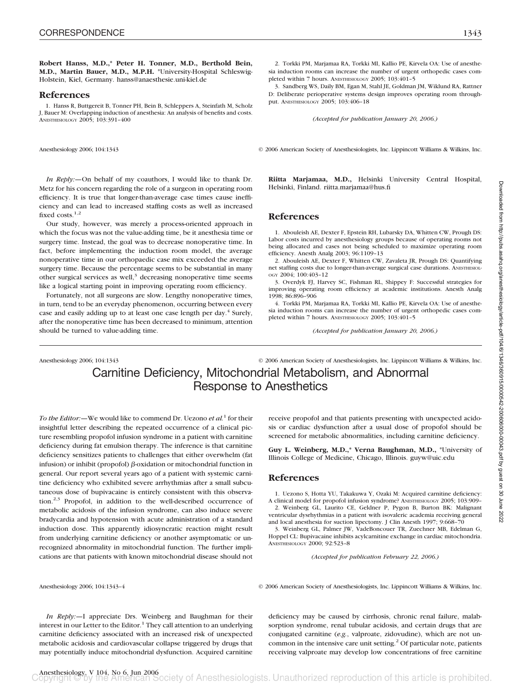**Robert Hanss, M.D.,\* Peter H. Tonner, M.D., Berthold Bein, M.D., Martin Bauer, M.D., M.P.H.** \*University-Hospital Schleswig-Holstein, Kiel, Germany. hanss@anaesthesie.uni-kiel.de

#### **References**

1. Hanss R, Buttgereit B, Tonner PH, Bein B, Schleppers A, Steinfath M, Scholz J, Bauer M: Overlapping induction of anesthesia: An analysis of benefits and costs. ANESTHESIOLOGY 2005; 103:391–400

*In Reply:—*On behalf of my coauthors, I would like to thank Dr. Metz for his concern regarding the role of a surgeon in operating room efficiency. It is true that longer-than-average case times cause inefficiency and can lead to increased staffing costs as well as increased fixed costs. $1,2$ 

Our study, however, was merely a process-oriented approach in which the focus was not the value-adding time, be it anesthesia time or surgery time. Instead, the goal was to decrease nonoperative time. In fact, before implementing the induction room model, the average nonoperative time in our orthopaedic case mix exceeded the average surgery time. Because the percentage seems to be substantial in many other surgical services as well, $3$  decreasing nonoperative time seems like a logical starting point in improving operating room efficiency.

Fortunately, not all surgeons are slow. Lengthy nonoperative times, in turn, tend to be an everyday phenomenon, occurring between every case and easily adding up to at least one case length per day.<sup>4</sup> Surely, after the nonoperative time has been decreased to minimum, attention should be turned to value-adding time.

2. Torkki PM, Marjamaa RA, Torkki MI, Kallio PE, Kirvela OA: Use of anesthesia induction rooms can increase the number of urgent orthopedic cases completed within 7 hours. ANESTHESIOLOGY 2005; 103:401–5

3. Sandberg WS, Daily BM, Egan M, Stahl JE, Goldman JM, Wiklund RA, Rattner D: Deliberate perioperative systems design improves operating room throughput. ANESTHESIOLOGY 2005; 103:406–18

*(Accepted for publication January 20, 2006.)*

Anesthesiology 2006; 104:1343 © 2006 American Society of Anesthesiologists, Inc. Lippincott Williams & Wilkins, Inc.

**Riitta Marjamaa, M.D.,** Helsinki University Central Hospital, Helsinki, Finland. riitta.marjamaa@hus.fi

#### **References**

1. Abouleish AE, Dexter F, Epstein RH, Lubarsky DA, Whitten CW, Prough DS: Labor costs incurred by anesthesiology groups because of operating rooms not being allocated and cases not being scheduled to maximize operating room efficiency. Anesth Analg 2003; 96:1109–13

2. Abouleish AE, Dexter F, Whitten CW, Zavaleta JR, Prough DS: Quantifying net staffing costs due to longer-than-average surgical case durations. ANESTHESIOL-OGY 2004; 100:403–12

3. Overdyk FJ, Harvey SC, Fishman RL, Shippey F: Successful strategies for improving operating room efficiency at academic institutions. Anesth Analg 1998; 86:896–906

4. Torkki PM, Marjamaa RA, Torkki MI, Kallio PE, Kirvela OA: Use of anesthesia induction rooms can increase the number of urgent orthopedic cases completed within 7 hours. ANESTHESIOLOGY 2005; 103:401–5

*(Accepted for publication January 20, 2006.)*

Anesthesiology 2006; 104:1343 © 2006 American Society of Anesthesiologists, Inc. Lippincott Williams & Wilkins, Inc.

Carnitine Deficiency, Mitochondrial Metabolism, and Abnormal Response to Anesthetics

*To the Editor:—*We would like to commend Dr. Uezono *et al.*<sup>1</sup> for their insightful letter describing the repeated occurrence of a clinical picture resembling propofol infusion syndrome in a patient with carnitine deficiency during fat emulsion therapy. The inference is that carnitine deficiency sensitizes patients to challenges that either overwhelm (fat infusion) or inhibit (propofol)  $\beta$ -oxidation or mitochondrial function in general. Our report several years ago of a patient with systemic carnitine deficiency who exhibited severe arrhythmias after a small subcutaneous dose of bupivacaine is entirely consistent with this observation.2,3 Propofol, in addition to the well-described occurrence of metabolic acidosis of the infusion syndrome, can also induce severe bradycardia and hypotension with acute administration of a standard induction dose. This apparently idiosyncratic reaction might result from underlying carnitine deficiency or another asymptomatic or unrecognized abnormality in mitochondrial function. The further implications are that patients with known mitochondrial disease should not

receive propofol and that patients presenting with unexpected acidosis or cardiac dysfunction after a usual dose of propofol should be screened for metabolic abnormalities, including carnitine deficiency.

**Guy L. Weinberg, M.D.,\* Verna Baughman, M.D.,** \*University of Illinois College of Medicine, Chicago, Illinois. guyw@uic.edu

#### **References**

1. Uezono S, Hotta YU, Takakuwa Y, Ozaki M: Acquired carnitine deficiency: A clinical model for propofol infusion syndrome? ANESTHESIOLOGY 2005; 103:909– 2. Weinberg GL, Laurito CE, Geldner P, Pygon B, Burton BK: Malignant ventricular dysrhythmias in a patient with isovaleric academia receiving general

and local anesthesia for suction lipectomy. J Clin Anesth 1997; 9:668–70 3. Weinberg GL, Palmer JW, VadeBoncouer TR, Zuechner MB, Edelman G,

Hoppel CL: Bupivacaine inhibits acylcarnitine exchange in cardiac mitochondria. ANESTHESIOLOGY 2000; 92:523–8

*(Accepted for publication February 22, 2006.)*

Anesthesiology 2006; 104:1343–4 © 2006 American Society of Anesthesiologists, Inc. Lippincott Williams & Wilkins, Inc.

*In Reply:—*I appreciate Drs. Weinberg and Baughman for their interest in our Letter to the Editor.<sup>1</sup> They call attention to an underlying carnitine deficiency associated with an increased risk of unexpected metabolic acidosis and cardiovascular collapse triggered by drugs that may potentially induce mitochondrial dysfunction. Acquired carnitine deficiency may be caused by cirrhosis, chronic renal failure, malabsorption syndrome, renal tubular acidosis, and certain drugs that are conjugated carnitine (*e.g.*, valproate, zidovudine), which are not uncommon in the intensive care unit setting.<sup>2</sup> Of particular note, patients receiving valproate may develop low concentrations of free carnitine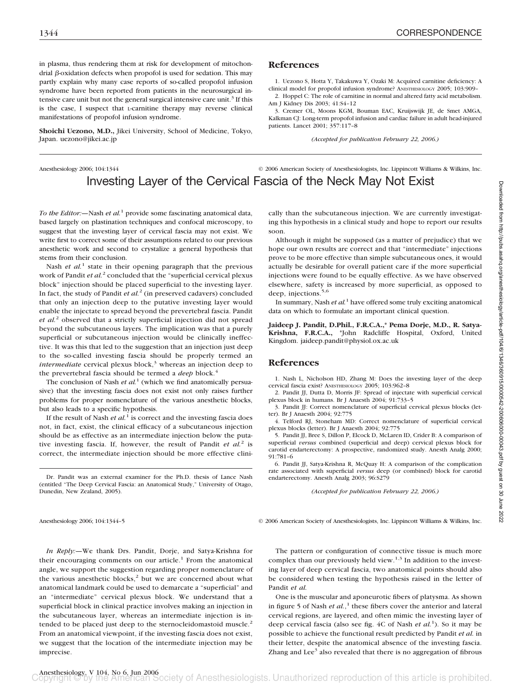in plasma, thus rendering them at risk for development of mitochondrial  $\beta$ -oxidation defects when propofol is used for sedation. This may partly explain why many case reports of so-called propofol infusion syndrome have been reported from patients in the neurosurgical intensive care unit but not the general surgical intensive care unit.<sup>3</sup> If this is the case, I suspect that L-carnitine therapy may reverse clinical manifestations of propofol infusion syndrome.

**Shoichi Uezono, M.D.,** Jikei University, School of Medicine, Tokyo, Japan. uezono@jikei.ac.jp

#### **References**

1. Uezono S, Hotta Y, Takakuwa Y, Ozaki M: Acquired carnitine deficiency: A clinical model for propofol infusion syndrome? ANESTHESIOLOGY 2005; 103:909– 2. Hoppel C: The role of carnitine in normal and altered fatty acid metabolism. Am J Kidney Dis 2003; 41:S4–12

3. Cremer OL, Moons KGM, Bouman EAC, Kruijswijk JE, de Smet AMGA, Kalkman CJ: Long-term propofol infusion and cardiac failure in adult head-injured patients. Lancet 2001; 357:117–8

*(Accepted for publication February 22, 2006.)*

### Anesthesiology 2006; 104:1344 © 2006 American Society of Anesthesiologists, Inc. Lippincott Williams & Wilkins, Inc. Investing Layer of the Cervical Fascia of the Neck May Not Exist

*To the Editor:—*Nash *et al.*<sup>1</sup> provide some fascinating anatomical data, based largely on plastination techniques and confocal microscopy, to suggest that the investing layer of cervical fascia may not exist. We write first to correct some of their assumptions related to our previous anesthetic work and second to crystalize a general hypothesis that stems from their conclusion.

Nash *et al.*<sup>1</sup> state in their opening paragraph that the previous work of Pandit et al.<sup>2</sup> concluded that the "superficial cervical plexus block" injection should be placed superficial to the investing layer. In fact, the study of Pandit *et al.*<sup>2</sup> (in preserved cadavers) concluded that only an injection deep to the putative investing layer would enable the injectate to spread beyond the prevertebral fascia. Pandit *et al.*<sup>2</sup> observed that a strictly superficial injection did not spread beyond the subcutaneous layers. The implication was that a purely superficial or subcutaneous injection would be clinically ineffective. It was this that led to the suggestion that an injection just deep to the so-called investing fascia should be properly termed an *intermediate* cervical plexus block,<sup>3</sup> whereas an injection deep to the prevertebral fascia should be termed a *deep* block.<sup>4</sup>

The conclusion of Nash *et al.*<sup>1</sup> (which we find anatomically persuasive) that the investing fascia does not exist not only raises further problems for proper nomenclature of the various anesthetic blocks, but also leads to a specific hypothesis.

If the result of Nash *et al.*<sup>1</sup> is correct and the investing fascia does not, in fact, exist, the clinical efficacy of a subcutaneous injection should be as effective as an intermediate injection below the putative investing fascia. If, however, the result of Pandit *et al.*<sup>2</sup> is correct, the intermediate injection should be more effective clini-

Dr. Pandit was an external examiner for the Ph.D. thesis of Lance Nash (entitled "The Deep Cervical Fascia: an Anatomical Study," University of Otago, Dunedin, New Zealand, 2005).

cally than the subcutaneous injection. We are currently investigating this hypothesis in a clinical study and hope to report our results soon.

Although it might be supposed (as a matter of prejudice) that we hope our own results are correct and that "intermediate" injections prove to be more effective than simple subcutaneous ones, it would actually be desirable for overall patient care if the more superficial injections were found to be equally effective. As we have observed elsewhere, safety is increased by more superficial, as opposed to deep, injections.<sup>5,6</sup>

In summary, Nash *et al.*<sup>1</sup> have offered some truly exciting anatomical data on which to formulate an important clinical question.

**Jaideep J. Pandit, D.Phil., F.R.C.A.,\* Pema Dorje, M.D., R. Satya-Krishna, F.R.C.A.,** \*John Radcliffe Hospital, Oxford, United Kingdom. jaideep.pandit@physiol.ox.ac.uk

#### **References**

1. Nash L, Nicholson HD, Zhang M: Does the investing layer of the deep cervical fascia exist? ANESTHESIOLOGY 2005; 103:962–8

2. Pandit JJ, Dutta D, Morris JF: Spread of injectate with superficial cervical plexus block in humans. Br J Anaesth 2004; 91:733–5

3. Pandit JJ: Correct nomenclature of superficial cervical plexus blocks (letter). Br J Anaesth 2004; 92:775

4. Telford RJ, Stoneham MD: Correct nomenclature of superficial cervical plexus blocks (letter). Br J Anaesth 2004; 92:775

5. Pandit JJ, Bree S, Dillon P, Elcock D, McLaren ID, Crider B: A comparison of superficial *versus* combined (superficial and deep) cervical plexus block for carotid endarterectomy: A prospective, randomized study. Anesth Analg 2000; 91:781–6

6. Pandit JJ, Satya-Krishna R, McQuay H: A comparison of the complication rate associated with superficial *versus* deep (or combined) block for carotid endarterectomy. Anesth Analg 2003; 96:S279

*(Accepted for publication February 22, 2006.)*

Anesthesiology 2006; 104:1344–5 © 2006 American Society of Anesthesiologists, Inc. Lippincott Williams & Wilkins, Inc.

*In Reply:—*We thank Drs. Pandit, Dorje, and Satya-Krishna for their encouraging comments on our article.<sup>1</sup> From the anatomical angle, we support the suggestion regarding proper nomenclature of the various anesthetic blocks,<sup>2</sup> but we are concerned about what anatomical landmark could be used to demarcate a "superficial" and an "intermediate" cervical plexus block. We understand that a superficial block in clinical practice involves making an injection in the subcutaneous layer, whereas an intermediate injection is intended to be placed just deep to the sternocleidomastoid muscle.<sup>2</sup> From an anatomical viewpoint, if the investing fascia does not exist, we suggest that the location of the intermediate injection may be imprecise.

The pattern or configuration of connective tissue is much more complex than our previously held view. $1,3$  In addition to the investing layer of deep cervical fascia, two anatomical points should also be considered when testing the hypothesis raised in the letter of Pandit *et al.*

One is the muscular and aponeurotic fibers of platysma. As shown in figure 5 of Nash *et al.*, <sup>1</sup> these fibers cover the anterior and lateral cervical regions, are layered, and often mimic the investing layer of deep cervical fascia (also see fig. 4C of Nash *et al.*<sup>1</sup> ). So it may be possible to achieve the functional result predicted by Pandit *et al.* in their letter, despite the anatomical absence of the investing fascia. Zhang and Lee<sup>3</sup> also revealed that there is no aggregation of fibrous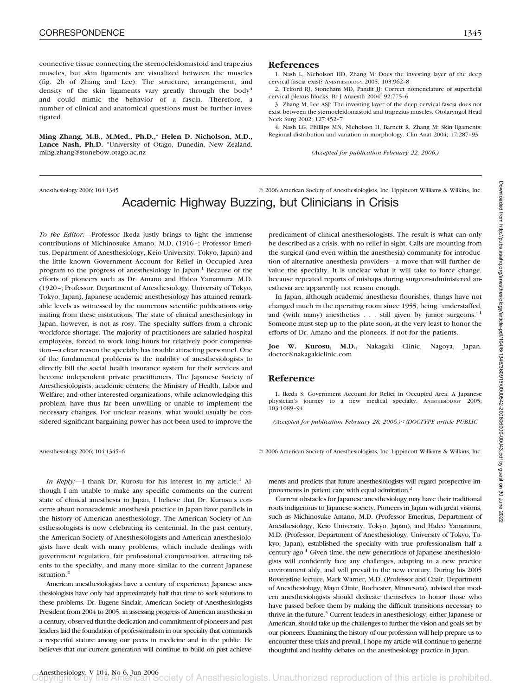connective tissue connecting the sternocleidomastoid and trapezius muscles, but skin ligaments are visualized between the muscles (fig. 2b of Zhang and Lee). The structure, arrangement, and density of the skin ligaments vary greatly through the body<sup>4</sup> and could mimic the behavior of a fascia. Therefore, a number of clinical and anatomical questions must be further investigated.

**Ming Zhang, M.B., M.Med., Ph.D.,\* Helen D. Nicholson, M.D., Lance Nash, Ph.D.** \*University of Otago, Dunedin, New Zealand. ming.zhang@stonebow.otago.ac.nz

#### **References**

1. Nash L, Nicholson HD, Zhang M: Does the investing layer of the deep cervical fascia exist? ANESTHESIOLOGY 2005; 103:962–8

2. Telford RJ, Stoneham MD, Pandit JJ: Correct nomenclature of superficial cervical plexus blocks. Br J Anaesth 2004; 92:775–6

3. Zhang M, Lee ASJ: The investing layer of the deep cervical fascia does not exist between the sternocleidomastoid and trapezius muscles. Otolaryngol Head Neck Surg 2002; 127:452–7

4. Nash LG, Phillips MN, Nicholson H, Barnett R, Zhang M: Skin ligaments: Regional distribution and variation in morphology. Clin Anat 2004; 17:287–93

*(Accepted for publication February 22, 2006.)*

Anesthesiology 2006; 104:1345 © 2006 American Society of Anesthesiologists, Inc. Lippincott Williams & Wilkins, Inc. Academic Highway Buzzing, but Clinicians in Crisis

*To the Editor:—*Professor Ikeda justly brings to light the immense contributions of Michinosuke Amano, M.D. (1916 –; Professor Emeritus, Department of Anesthesiology, Keio University, Tokyo, Japan) and the little known Government Account for Relief in Occupied Area program to the progress of anesthesiology in Japan.<sup>1</sup> Because of the efforts of pioneers such as Dr. Amano and Hideo Yamamura, M.D. (1920 –; Professor, Department of Anesthesiology, University of Tokyo, Tokyo, Japan), Japanese academic anesthesiology has attained remarkable levels as witnessed by the numerous scientific publications originating from these institutions. The state of clinical anesthesiology in Japan, however, is not as rosy. The specialty suffers from a chronic workforce shortage. The majority of practitioners are salaried hospital employees, forced to work long hours for relatively poor compensation—a clear reason the specialty has trouble attracting personnel. One of the fundamental problems is the inability of anesthesiologists to directly bill the social health insurance system for their services and become independent private practitioners. The Japanese Society of Anesthesiologists; academic centers; the Ministry of Health, Labor and Welfare; and other interested organizations, while acknowledging this problem, have thus far been unwilling or unable to implement the necessary changes. For unclear reasons, what would usually be considered significant bargaining power has not been used to improve the

*In Reply:*—I thank Dr. Kurosu for his interest in my article.<sup>1</sup> Although I am unable to make any specific comments on the current state of clinical anesthesia in Japan, I believe that Dr. Kurosu's concerns about nonacademic anesthesia practice in Japan have parallels in the history of American anesthesiology. The American Society of Anesthesiologists is now celebrating its centennial. In the past century, the American Society of Anesthesiologists and American anesthesiologists have dealt with many problems, which include dealings with government regulation, fair professional compensation, attracting talents to the specialty, and many more similar to the current Japanese situation<sup>2</sup>

American anesthesiologists have a century of experience; Japanese anesthesiologists have only had approximately half that time to seek solutions to these problems. Dr. Eugene Sinclair, American Society of Anesthesiologists President from 2004 to 2005, in assessing progress of American anesthesia in a century, observed that the dedication and commitment of pioneers and past leaders laid the foundation of professionalism in our specialty that commands a respectful stature among our peers in medicine and in the public. He believes that our current generation will continue to build on past achievepredicament of clinical anesthesiologists. The result is what can only be described as a crisis, with no relief in sight. Calls are mounting from the surgical (and even within the anesthesia) community for introduction of alternative anesthesia providers—a move that will further devalue the specialty. It is unclear what it will take to force change, because repeated reports of mishaps during surgeon-administered anesthesia are apparently not reason enough.

In Japan, although academic anesthesia flourishes, things have not changed much in the operating room since 1955, being "understaffed, and (with many) anesthetics . . . still given by junior surgeons."<sup>1</sup> Someone must step up to the plate soon, at the very least to honor the efforts of Dr. Amano and the pioneers, if not for the patients.

**Joe W. Kurosu, M.D.,** Nakagaki Clinic, Nagoya, Japan. doctor@nakagakiclinic.com

#### **Reference**

1. Ikeda S: Government Account for Relief in Occupied Area: A Japanese physician's journey to a new medical specialty. ANESTHESIOLOGY 2005; 103:1089–94

*(Accepted for publication February 28, 2006.)!DOCTYPE article PUBLIC*

Anesthesiology 2006; 104:1345-6 © 2006 American Society of Anesthesiologists, Inc. Lippincott Williams & Wilkins, Inc.

ments and predicts that future anesthesiologists will regard prospective improvements in patient care with equal admiration.<sup>2</sup>

Current obstacles for Japanese anesthesiology may have their traditional roots indigenous to Japanese society. Pioneers in Japan with great visions, such as Michinosuke Amano, M.D. (Professor Emeritus, Department of Anesthesiology, Keio University, Tokyo, Japan), and Hideo Yamamura, M.D. (Professor, Department of Anesthesiology, University of Tokyo, Tokyo, Japan), established the specialty with true professionalism half a century ago. $<sup>1</sup>$  Given time, the new generations of Japanese anesthesiolo-</sup> gists will confidently face any challenges, adapting to a new practice environment ably, and will prevail in the new century. During his 2005 Rovenstine lecture, Mark Warner, M.D. (Professor and Chair, Department of Anesthesiology, Mayo Clinic, Rochester, Minnesota), advised that modern anesthesiologists should dedicate themselves to honor those who have passed before them by making the difficult transitions necessary to thrive in the future.<sup>3</sup> Current leaders in anesthesiology, either Japanese or American, should take up the challenges to further the vision and goals set by our pioneers. Examining the history of our profession will help prepare us to encounter these trials and prevail. I hope my article will continue to generate thoughtful and healthy debates on the anesthesiology practice in Japan.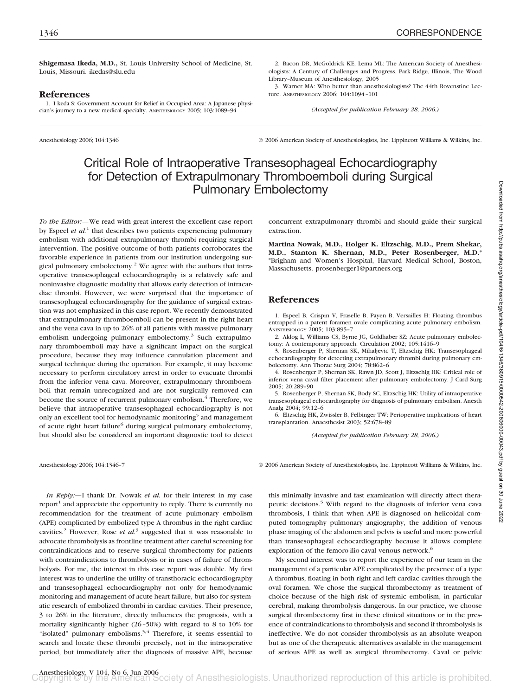**Shigemasa Ikeda, M.D.,** St. Louis University School of Medicine, St. Louis, Missouri. ikedas@slu.edu

#### **References**

1. I keda S: Government Account for Relief in Occupied Area: A Japanese physician's journey to a new medical specialty. ANESTHESIOLOGY 2005; 103:1089–94

2. Bacon DR, McGoldrick KE, Lema ML: The American Society of Anesthesiologists: A Century of Challenges and Progress. Park Ridge, Illinois, The Wood Library–Museum of Anesthesiology, 2005

3. Warner MA: Who better than anesthesiologists? The 44th Rovenstine Lecture. ANESTHESIOLOGY 2006; 104:1094 –101

*(Accepted for publication February 28, 2006.)*

Anesthesiology 2006; 104:1346  $\degree$  2006 American Society of Anesthesiologists, Inc. Lippincott Williams & Wilkins, Inc.

### Critical Role of Intraoperative Transesophageal Echocardiography for Detection of Extrapulmonary Thromboemboli during Surgical Pulmonary Embolectomy

*To the Editor:—*We read with great interest the excellent case report by Espeel *et al.*<sup>1</sup> that describes two patients experiencing pulmonary embolism with additional extrapulmonary thrombi requiring surgical intervention. The positive outcome of both patients corroborates the favorable experience in patients from our institution undergoing surgical pulmonary embolectomy.<sup>2</sup> We agree with the authors that intraoperative transesophageal echocardiography is a relatively safe and noninvasive diagnostic modality that allows early detection of intracardiac thrombi. However, we were surprised that the importance of transesophageal echocardiography for the guidance of surgical extraction was not emphasized in this case report. We recently demonstrated that extrapulmonary thromboemboli can be present in the right heart and the vena cava in up to 26% of all patients with massive pulmonary embolism undergoing pulmonary embolectomy.<sup>3</sup> Such extrapulmonary thromboemboli may have a significant impact on the surgical procedure, because they may influence cannulation placement and surgical technique during the operation. For example, it may become necessary to perform circulatory arrest in order to evacuate thrombi from the inferior vena cava. Moreover, extrapulmonary thromboemboli that remain unrecognized and are not surgically removed can become the source of recurrent pulmonary embolism.<sup>4</sup> Therefore, we believe that intraoperative transesophageal echocardiography is not only an excellent tool for hemodynamic monitoring<sup>5</sup> and management of acute right heart failure<sup>6</sup> during surgical pulmonary embolectomy, but should also be considered an important diagnostic tool to detect

*In Reply:—*I thank Dr. Nowak *et al.* for their interest in my case  $report<sup>1</sup>$  and appreciate the opportunity to reply. There is currently no recommendation for the treatment of acute pulmonary embolism (APE) complicated by embolized type A thrombus in the right cardiac cavities.2 However, Rose *et al.*<sup>3</sup> suggested that it was reasonable to advocate thrombolysis as frontline treatment after careful screening for contraindications and to reserve surgical thrombectomy for patients with contraindications to thrombolysis or in cases of failure of thrombolysis. For me, the interest in this case report was double. My first interest was to underline the utility of transthoracic echocardiography and transesophageal echocardiography not only for hemodynamic monitoring and management of acute heart failure, but also for systematic research of embolized thrombi in cardiac cavities. Their presence, 3 to 26% in the literature, directly influences the prognosis, with a mortality significantly higher (26 –50%) with regard to 8 to 10% for "isolated" pulmonary embolisms.<sup>3,4</sup> Therefore, it seems essential to search and locate these thrombi precisely, not in the intraoperative period, but immediately after the diagnosis of massive APE, because

Downloaded from http://pubs.asahq.org/anesthesiology/article-pdf/104/6/1346/360915/000032-200606000-00043.pdf by guest.on 30 June 2022 Downloaded from http://pubs.asahq.org/anesthesiology/article-pdf/104/6/1346/360915/0000542-200606000-00043.pdf by guest on 30 June 2022

concurrent extrapulmonary thrombi and should guide their surgical extraction.

**Martina Nowak, M.D., Holger K. Eltzschig, M.D., Prem Shekar, M.D., Stanton K. Shernan, M.D., Peter Rosenberger, M.D.\*** \*Brigham and Women's Hospital, Harvard Medical School, Boston, Massachusetts. prosenberger1@partners.org

#### **References**

1. Espeel B, Crispin V, Fraselle B, Payen B, Versailles H: Floating thrombus entrapped in a patent foramen ovale complicating acute pulmonary embolism. ANESTHESIOLOGY 2005; 103:895–7

2. Aklog L, Williams CS, Byrne JG, Goldhaber SZ: Acute pulmonary embolectomy: A contemporary approach. Circulation 2002; 105:1416–9

3. Rosenberger P, Shernan SK, Mihaljevic T, Eltzschig HK: Transesophageal echocardiography for detecting extrapulmonary thrombi during pulmonary embolectomy. Ann Thorac Surg 2004; 78:862–6

4. Rosenberger P, Shernan SK, Rawn JD, Scott J, Eltzschig HK: Critical role of inferior vena caval filter placement after pulmonary embolectomy. J Card Surg 2005; 20:289–90

5. Rosenberger P, Shernan SK, Body SC, Eltzschig HK: Utility of intraoperative transesophageal echocardiography for diagnosis of pulmonary embolism. Anesth Analg 2004; 99:12–6

6. Eltzschig HK, Zwissler B, Felbinger TW: Perioperative implications of heart transplantation. Anaesthesist 2003; 52:678–89

*(Accepted for publication February 28, 2006.)*

Anesthesiology 2006; 104:1346-7 © 2006 American Society of Anesthesiologists, Inc. Lippincott Williams & Wilkins, Inc.

this minimally invasive and fast examination will directly affect therapeutic decisions.<sup>5</sup> With regard to the diagnosis of inferior vena cava thrombosis, I think that when APE is diagnosed on helicoidal computed tomography pulmonary angiography, the addition of venous phase imaging of the abdomen and pelvis is useful and more powerful than transesophageal echocardiography because it allows complete exploration of the femoro-ilio-caval venous network.<sup>6</sup>

My second interest was to report the experience of our team in the management of a particular APE complicated by the presence of a type A thrombus, floating in both right and left cardiac cavities through the oval foramen. We chose the surgical thrombectomy as treatment of choice because of the high risk of systemic embolism, in particular cerebral, making thrombolysis dangerous. In our practice, we choose surgical thrombectomy first in these clinical situations or in the presence of contraindications to thrombolysis and second if thrombolysis is ineffective. We do not consider thrombolysis as an absolute weapon but as one of the therapeutic alternatives available in the management of serious APE as well as surgical thrombectomy. Caval or pelvic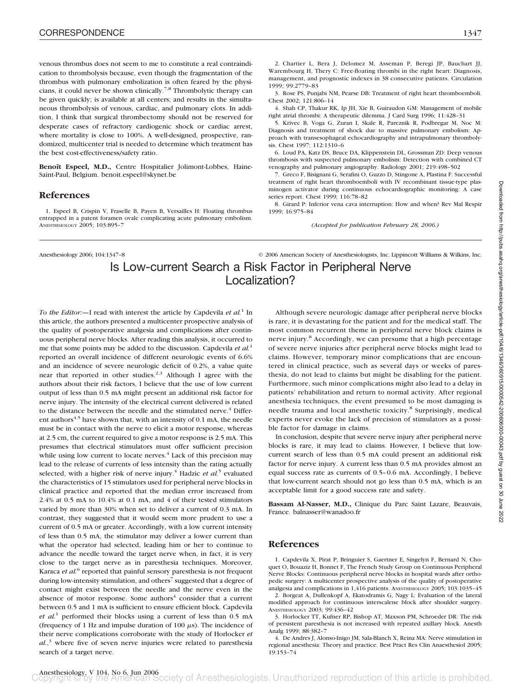venous thrombus does not seem to me to constitute a real contraindication to thrombolysis because, even though the fragmentation of the thrombus with pulmonary embolization is often feared by the physicians, it could never be shown clinically.<sup>7,8</sup> Thrombolytic therapy can be given quickly; is available at all centers; and results in the simultaneous thrombolysis of venous, cardiac, and pulmonary clots. In addition, I think that surgical thrombectomy should not be reserved for desperate cases of refractory cardiogenic shock or cardiac arrest, where mortality is close to 100%. A well-designed, prospective, randomized, multicenter trial is needed to determine which treatment has the best cost-effectiveness/safety ratio.

Benoît Espeel, M.D., Centre Hospitalier Jolimont-Lobbes, Haine-Saint-Paul, Belgium. benoit.espeel@skynet.be

#### **References**

1. Espeel B, Crispin V, Fraselle B, Payen B, Versailles H: Floating thrombus entrapped in a patent foramen ovale complicating acute pulmonary embolism. ANESTHESIOLOGY 2005; 103:895–7

2. Chartier L, Bera J, Delomez M, Asseman P, Beregi JP, Bauchart JJ, Warembourg H, Thery C: Free-floating thrombi in the right heart: Diagnosis, management, and prognostic indexes in 38 consecutive patients. Circulation 1999; 99:2779–83

3. Rose PS, Punjabi NM, Pearse DB: Treatment of right heart thromboemboli. Chest 2002; 121:806–14

4. Shah CP, Thakur RK, Ip JH, Xie B, Guiraudon GM: Management of mobile right atrial thrombi: A therapeutic dilemma. J Card Surg 1996; 11:428–31

5. Krivec B, Voga G, Zuran I, Skale R, Pareznik R, Podbregar M, Noc M: Diagnosis and treatment of shock due to massive pulmonary embolism: Approach with transesophageal echocardiography and intrapulmonary thrombolysis. Chest 1997; 112:1310–6

6. Loud PA, Katz DS, Bruce DA, Klippenstein DL, Grossman ZD: Deep venous thrombosis with suspected pulmonary embolism: Detection with combined CT venography and pulmonary angiography. Radiology 2001; 219:498–502

7. Greco F, Bisignani G, Serafini O, Guzzo D, Stingone A, Plastina F: Successful treatment of right heart thromboemboli with IV recombinant tissue-type plasminogen activator during continuous echocardiographic monitoring: A case series report. Chest 1999; 116:78–82

8. Girard P: Inferior vena cava interruption: How and when? Rev Mal Respir 1999; 16:975–84

*(Accepted for publication February 28, 2006.)*

Anesthesiology 2006; 104:1347–8 © 2006 American Society of Anesthesiologists, Inc. Lippincott Williams & Wilkins, Inc.

### Is Low-current Search a Risk Factor in Peripheral Nerve Localization?

*To the Editor:—*I read with interest the article by Capdevila *et al.*<sup>1</sup> In this article, the authors presented a multicenter prospective analysis of the quality of postoperative analgesia and complications after continuous peripheral nerve blocks. After reading this analysis, it occurred to me that some points may be added to the discussion. Capdevila *et al.*<sup>1</sup> reported an overall incidence of different neurologic events of 6.6% and an incidence of severe neurologic deficit of 0.2%, a value quite near that reported in other studies.2,3 Although I agree with the authors about their risk factors, I believe that the use of low current output of less than 0.5 mA might present an additional risk factor for nerve injury. The intensity of the electrical current delivered is related to the distance between the needle and the stimulated nerve.<sup>4</sup> Different authors $4,5$  have shown that, with an intensity of 0.1 mA, the needle must be in contact with the nerve to elicit a motor response, whereas at 2.5 cm, the current required to give a motor response is 2.5 mA. This presumes that electrical stimulators must offer sufficient precision while using low current to locate nerves.<sup>4</sup> Lack of this precision may lead to the release of currents of less intensity than the rating actually selected, with a higher risk of nerve injury.<sup>4</sup> Hadzic *et al.*<sup>5</sup> evaluated the characteristics of 15 stimulators used for peripheral nerve blocks in clinical practice and reported that the median error increased from 2.4% at 0.5 mA to 10.4% at 0.1 mA, and 4 of their tested stimulators varied by more than 30% when set to deliver a current of 0.3 mA. In contrast, they suggested that it would seem more prudent to use a current of 0.5 mA or greater. Accordingly, with a low current intensity of less than 0.5 mA, the stimulator may deliver a lower current than what the operator had selected, leading him or her to continue to advance the needle toward the target nerve when, in fact, it is very close to the target nerve as in paresthesia techniques. Moreover, Karaca *et al.*<sup>6</sup> reported that painful sensory paresthesia is not frequent during low-intensity stimulation, and others<sup>7</sup> suggested that a degree of contact might exist between the needle and the nerve even in the absence of motor response. Some authors $4$  consider that a current between 0.5 and 1 mA is sufficient to ensure efficient block. Capdevila *et al.*<sup>1</sup> performed their blocks using a current of less than 0.5 mA (frequency of 1 Hz and impulse duration of 100  $\mu$ s). The incidence of their nerve complications corroborate with the study of Horlocker *et al.*, <sup>3</sup> where five of seven nerve injuries were related to paresthesia search of a target nerve.

Although severe neurologic damage after peripheral nerve blocks is rare, it is devastating for the patient and for the medical staff. The most common recurrent theme in peripheral nerve block claims is nerve injury.<sup>8</sup> Accordingly, we can presume that a high percentage of severe nerve injuries after peripheral nerve blocks might lead to claims. However, temporary minor complications that are encountered in clinical practice, such as several days or weeks of paresthesia, do not lead to claims but might be disabling for the patient. Furthermore, such minor complications might also lead to a delay in patients' rehabilitation and return to normal activity. After regional anesthesia techniques, the event presumed to be most damaging is needle trauma and local anesthetic toxicity.<sup>8</sup> Surprisingly, medical experts never evoke the lack of precision of stimulators as a possible factor for damage in claims.

In conclusion, despite that severe nerve injury after peripheral nerve blocks is rare, it may lead to claims. However, I believe that lowcurrent search of less than 0.5 mA could present an additional risk factor for nerve injury. A current less than 0.5 mA provides almost an equal success rate as currents of 0.5– 0.6 mA. Accordingly, I believe that low-current search should not go less than 0.5 mA, which is an acceptable limit for a good success rate and safety.

**Bassam Al-Nasser, M.D.,** Clinique du Parc Saint Lazare, Beauvais, France. balnasser@wanadoo.fr

#### **References**

1. Capdevila X, Pirat P, Bringuier S, Gaertner E, Singelyn F, Bernard N, Choquet O. Bouaziz H. Bonnet F, The French Study Group on Continuous Peripheral Nerve Blocks: Continuous peripheral nerve blocks in hospital wards after orthopedic surgery: A multicenter prospective analysis of the quality of postoperative analgesia and complications in 1,416 patients. ANESTHESIOLOGY 2005; 103:1035–45

2. Borgeat A, Dullenkopf A, Ekatodramis G, Nagy L: Evaluation of the lateral modified approach for continuous interscalene block after shoulder surgery. ANESTHESIOLOGY 2003; 99:436–42

3. Horlocker TT, Kufner RP, Bishop AT, Maxson PM, Schroeder DR: The risk of persistent paresthesia is not increased with repeated axillary block. Anesth Analg 1999; 88:382–7

4. De Andres J, Alonso-Inigo JM, Sala-Blanch X, Reina MA: Nerve stimulation in regional anesthesia: Theory and practice. Best Pract Res Clin Anaesthesiol 2005; 19:153–74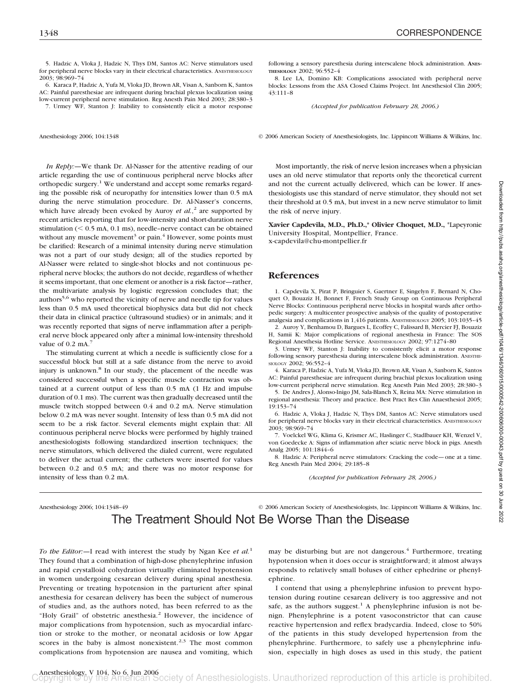5. Hadzic A, Vloka J, Hadzic N, Thys DM, Santos AC: Nerve stimulators used for peripheral nerve blocks vary in their electrical characteristics. ANESTHESIOLOGY 2003; 98:969–74

6. Karaca P, Hadzic A, Yufa M, Vloka JD, Brown AR, Visan A, Sanborn K, Santos AC: Painful paresthesiae are infrequent during brachial plexus localization using low-current peripheral nerve stimulation. Reg Anesth Pain Med 2003; 28:380–3 7. Urmey WF, Stanton J: Inability to consistently elicit a motor response

*In Reply:—*We thank Dr. Al-Nasser for the attentive reading of our article regarding the use of continuous peripheral nerve blocks after orthopedic surgery.<sup>1</sup> We understand and accept some remarks regarding the possible risk of neuropathy for intensities lower than 0.5 mA during the nerve stimulation procedure. Dr. Al-Nasser's concerns, which have already been evoked by Auroy *et al.*,<sup>2</sup> are supported by recent articles reporting that for low-intensity and short-duration nerve stimulation  $(< 0.5$  mA,  $(0.1 \text{ ms})$ , needle-nerve contact can be obtained without any muscle movement<sup>3</sup> or pain.<sup>4</sup> However, some points must be clarified: Research of a minimal intensity during nerve stimulation was not a part of our study design; all of the studies reported by Al-Nasser were related to single-shot blocks and not continuous peripheral nerve blocks; the authors do not decide, regardless of whether it seems important, that one element or another is a risk factor—rather, the multivariate analysis by logistic regression concludes that; the authors<sup>5,6</sup> who reported the vicinity of nerve and needle tip for values less than 0.5 mA used theoretical biophysics data but did not check their data in clinical practice (ultrasound studies) or in animals; and it was recently reported that signs of nerve inflammation after a peripheral nerve block appeared only after a minimal low-intensity threshold value of  $0.2 \text{ mA}^7$ 

The stimulating current at which a needle is sufficiently close for a successful block but still at a safe distance from the nerve to avoid injury is unknown.<sup>8</sup> In our study, the placement of the needle was considered successful when a specific muscle contraction was obtained at a current output of less than 0.5 mA (1 Hz and impulse duration of 0.1 ms). The current was then gradually decreased until the muscle twitch stopped between 0.4 and 0.2 mA. Nerve stimulation below 0.2 mA was never sought. Intensity of less than 0.5 mA did not seem to be a risk factor. Several elements might explain that: All continuous peripheral nerve blocks were performed by highly trained anesthesiologists following standardized insertion techniques; the nerve stimulators, which delivered the dialed current, were regulated to deliver the actual current; the catheters were inserted for values between 0.2 and 0.5 mA; and there was no motor response for intensity of less than 0.2 mA.

following a sensory paresthesia during interscalene block administration. **ANES-THESIOLOGY** 2002; 96:552–4

8. Lee LA, Domino KB: Complications associated with peripheral nerve blocks: Lessons from the ASA Closed Claims Project. Int Anesthesiol Clin 2005; 43:111–8

*(Accepted for publication February 28, 2006.)*

Anesthesiology 2006; 104:1348 © 2006 American Society of Anesthesiologists, Inc. Lippincott Williams & Wilkins, Inc.

Most importantly, the risk of nerve lesion increases when a physician uses an old nerve stimulator that reports only the theoretical current and not the current actually delivered, which can be lower. If anesthesiologists use this standard of nerve stimulator, they should not set their threshold at 0.5 mA, but invest in a new nerve stimulator to limit the risk of nerve injury.

**Xavier Capdevila, M.D., Ph.D.,\* Olivier Choquet, M.D.,** \*Lapeyronie University Hospital, Montpellier, France. x-capdevila@chu-montpellier.fr

#### **References**

1. Capdevila X, Pirat P, Bringuier S, Gaertner E, Singelyn F, Bernard N, Choquet O, Bouaziz H, Bonnet F, French Study Group on Continuous Peripheral Nerve Blocks: Continuous peripheral nerve blocks in hospital wards after orthopedic surgery: A multicenter prospective analysis of the quality of postoperative analgesia and complications in 1,416 patients. ANESTHESIOLOGY 2005; 103:1035–45

2. Auroy Y, Benhamou D, Bargues L, Ecoffey C, Falissard B, Mercier FJ, Bouaziz H, Samii K: Major complications of regional anesthesia in France: The SOS Regional Anesthesia Hotline Service. ANESTHESIOLOGY 2002; 97:1274–80

3. Urmey WF, Stanton J: Inability to consistently elicit a motor response following sensory paresthesia during interscalene block administration. ANESTHE-SIOLOGY 2002; 96:552–4

4. Karaca P, Hadzic A, Yufa M, Vloka JD, Brown AR, Visan A, Sanborn K, Santos AC: Painful paresthesiae are infrequent during brachial plexus localization using low-current peripheral nerve stimulation. Reg Anesth Pain Med 2003; 28:380–3 5. De Andres J, Alonso-Inigo JM, Sala-Blanch X, Reina MA: Nerve stimulation in

regional anesthesia: Theory and practice. Best Pract Res Clin Anaesthesiol 2005; 19:153–74

6. Hadzic A, Vloka J, Hadzic N, Thys DM, Santos AC: Nerve stimulators used for peripheral nerve blocks vary in their electrical characteristics. ANESTHESIOLOGY 2003; 98:969–74

7. Voelckel WG, Klima G, Krismer AC, Haslinger C, Stadlbauer KH, Wenzel V, von Goedecke A: Signs of inflammation after sciatic nerve block in pigs. Anesth Analg 2005; 101:1844–6

8. Hadzic A: Peripheral nerve stimulators: Cracking the code— one at a time. Reg Anesth Pain Med 2004; 29:185–8

*(Accepted for publication February 28, 2006.)*

Anesthesiology 2006; 104:1348–49 © 2006 American Society of Anesthesiologists, Inc. Lippincott Williams & Wilkins, Inc.

The Treatment Should Not Be Worse Than the Disease

*To the Editor:—*I read with interest the study by Ngan Kee *et al.*<sup>1</sup> They found that a combination of high-dose phenylephrine infusion and rapid crystalloid cohydration virtually eliminated hypotension in women undergoing cesarean delivery during spinal anesthesia. Preventing or treating hypotension in the parturient after spinal anesthesia for cesarean delivery has been the subject of numerous of studies and, as the authors noted, has been referred to as the "Holy Grail" of obstetric anesthesia.<sup>2</sup> However, the incidence of major complications from hypotension, such as myocardial infarction or stroke to the mother, or neonatal acidosis or low Apgar scores in the baby is almost nonexistent. $2,3$  The most common complications from hypotension are nausea and vomiting, which

may be disturbing but are not dangerous.<sup>4</sup> Furthermore, treating hypotension when it does occur is straightforward; it almost always responds to relatively small boluses of either ephedrine or phenylephrine.

I contend that using a phenylephrine infusion to prevent hypotension during routine cesarean delivery is too aggressive and not safe, as the authors suggest.<sup>1</sup> A phenylephrine infusion is not benign. Phenylephrine is a potent vasoconstrictor that can cause reactive hypertension and reflex bradycardia. Indeed, close to 50% of the patients in this study developed hypertension from the phenylephrine. Furthermore, to safely use a phenylephrine infusion, especially in high doses as used in this study, the patient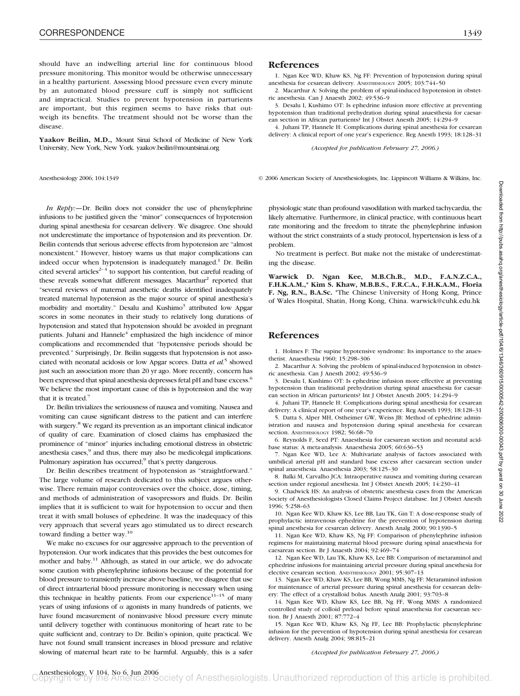should have an indwelling arterial line for continuous blood pressure monitoring. This monitor would be otherwise unnecessary in a healthy parturient. Assessing blood pressure even every minute by an automated blood pressure cuff is simply not sufficient and impractical. Studies to prevent hypotension in parturients are important, but this regimen seems to have risks that outweigh its benefits. The treatment should not be worse than the disease.

**Yaakov Beilin, M.D.,** Mount Sinai School of Medicine of New York University, New York, New York. yaakov.beilin@mountsinai.org

**References**

1. Ngan Kee WD, Khaw KS, Ng FF: Prevention of hypotension during spinal anesthesia for cesarean delivery. ANESTHESIOLOGY 2005; 103:744–50

2. Macarthur A: Solving the problem of spinal-induced hypotension in obstetric anesthesia. Can J Anaesth 2002; 49:536–9

3. Desalu I, Kushimo OT: Is ephedrine infusion more effective at preventing hypotension than traditional prehydration during spinal anaesthesia for caesarean section in African parturients? Int J Obstet Anesth 2005; 14:294–9

4. Juhani TP, Hannele H: Complications during spinal anesthesia for cesarean delivery: A clinical report of one year's experience. Reg Anesth 1993; 18:128–31

*(Accepted for publication February 27, 2006.)*

Anesthesiology 2006; 104:1349 © 2006 American Society of Anesthesiologists, Inc. Lippincott Williams & Wilkins, Inc.

*In Reply:—*Dr. Beilin does not consider the use of phenylephrine infusions to be justified given the "minor" consequences of hypotension during spinal anesthesia for cesarean delivery. We disagree. One should not underestimate the importance of hypotension and its prevention. Dr. Beilin contends that serious adverse effects from hypotension are "almost nonexistent." However, history warns us that major complications can indeed occur when hypotension is inadequately managed.<sup>1</sup> Dr. Beilin cited several articles<sup>2-4</sup> to support his contention, but careful reading of these reveals somewhat different messages. Macarthur<sup>2</sup> reported that "several reviews of maternal anesthetic deaths identified inadequately treated maternal hypotension as the major source of spinal anesthesia's morbidity and mortality." Desalu and Kushimo<sup>3</sup> attributed low Apgar scores in some neonates in their study to relatively long durations of hypotension and stated that hypotension should be avoided in pregnant patients. Juhani and Hannele<sup>4</sup> emphasized the high incidence of minor complications and recommended that "hypotensive periods should be prevented." Surprisingly, Dr. Beilin suggests that hypotension is not associated with neonatal acidosis or low Apgar scores. Datta *et al.*<sup>5</sup> showed just such an association more than 20 yr ago. More recently, concern has been expressed that spinal anesthesia depresses fetal pH and base excess.<sup>6</sup> We believe the most important cause of this is hypotension and the way that it is treated. $7$ 

Dr. Beilin trivializes the seriousness of nausea and vomiting. Nausea and vomiting can cause significant distress to the patient and can interfere with surgery.8 We regard its prevention as an important clinical indicator of quality of care. Examination of closed claims has emphasized the prominence of "minor" injuries including emotional distress in obstetric anesthesia cases,<sup>9</sup> and thus, there may also be medicolegal implications. Pulmonary aspiration has occurred;<sup>9</sup> that's pretty dangerous.

Dr. Beilin describes treatment of hypotension as "straightforward." The large volume of research dedicated to this subject argues otherwise. There remain major controversies over the choice, dose, timing, and methods of administration of vasopressors and fluids. Dr. Beilin implies that it is sufficient to wait for hypotension to occur and then treat it with small boluses of ephedrine. It was the inadequacy of this very approach that several years ago stimulated us to direct research toward finding a better way.10

We make no excuses for our aggressive approach to the prevention of hypotension. Our work indicates that this provides the best outcomes for mother and baby.<sup>11</sup> Although, as stated in our article, we do advocate some caution with phenylephrine infusions because of the potential for blood pressure to transiently increase above baseline, we disagree that use of direct intraarterial blood pressure monitoring is necessary when using this technique in healthy patients. From our experience<sup>11-15</sup> of many years of using infusions of  $\alpha$  agonists in many hundreds of patients, we have found measurement of noninvasive blood pressure every minute until delivery together with continuous monitoring of heart rate to be quite sufficient and, contrary to Dr. Beilin's opinion, quite practical. We have not found small transient increases in blood pressure and relative slowing of maternal heart rate to be harmful. Arguably, this is a safer

physiologic state than profound vasodilation with marked tachycardia, the likely alternative. Furthermore, in clinical practice, with continuous heart rate monitoring and the freedom to titrate the phenylephrine infusion without the strict constraints of a study protocol, hypertension is less of a problem.

No treatment is perfect. But make not the mistake of underestimating the disease.

**Warwick D. Ngan Kee, M.B.Ch.B., M.D., F.A.N.Z.C.A., F.H.K.A.M.,\* Kim S. Khaw, M.B.B.S., F.R.C.A., F.H.K.A.M., Floria F. Ng, R.N., B.A.Sc.** \*The Chinese University of Hong Kong, Prince of Wales Hospital, Shatin, Hong Kong, China. warwick@cuhk.edu.hk

#### **References**

1. Holmes F: The supine hypotensive syndrome: Its importance to the anaesthetist. Anaesthesia 1960; 15:298–306

2. Macarthur A: Solving the problem of spinal-induced hypotension in obstetric anesthesia. Can J Anesth 2002; 49:536–9

3. Desalu I, Kushimo OT: Is ephedrine infusion more effective at preventing hypotension than traditional prehydration during spinal anaesthesia for caesarean section in African parturients? Int J Obstet Anesth 2005; 14:294–9

4. Juhani TP, Hannele H: Complications during spinal anesthesia for cesarean delivery: A clinical report of one year's experience. Reg Anesth 1993; 18:128–31

5. Datta S, Alper MH, Ostheimer GW, Weiss JB: Method of ephedrine administration and nausea and hypotension during spinal anesthesia for cesarean section. ANESTHESIOLOGY 1982; 56:68–70

6. Reynolds F, Seed PT: Anaesthesia for caesarean section and neonatal acidbase status: A meta-analysis. Anaesthesia 2005; 60:636–53

7. Ngan Kee WD, Lee A: Multivariate analysis of factors associated with umbilical arterial pH and standard base excess after caesarean section under spinal anaesthesia. Anaesthesia 2003; 58:125–30

8. Balki M, Carvalho JCA: Intraoperative nausea and vomiting during cesarean section under regional anesthesia. Int J Obstet Anesth 2005; 14:230–41

9. Chadwick HS: An analysis of obstetric anesthesia cases from the American Society of Anesthesiologists Closed Claims Project database. Int J Obstet Anesth 1996; 5:258–63

10. Ngan Kee WD, Khaw KS, Lee BB, Lau TK, Gin T: A dose-response study of prophylactic intravenous ephedrine for the prevention of hypotension during spinal anesthesia for cesarean delivery. Anesth Analg 2000; 90:1390–5

11. Ngan Kee WD, Khaw KS, Ng FF: Comparison of phenylephrine infusion regimens for maintaining maternal blood pressure during spinal anaesthesia for caesarean section. Br J Anaesth 2004; 92:469–74

12. Ngan Kee WD, Lau TK, Khaw KS, Lee BB: Comparison of metaraminol and ephedrine infusions for maintaining arterial pressure during spinal anesthesia for elective cesarean section. ANESTHESIOLOGY 2001; 95:307–13

13. Ngan Kee WD, Khaw KS, Lee BB, Wong MMS, Ng FF: Metaraminol infusion for maintenance of arterial pressure during spinal anesthesia for cesarean delivery: The effect of a crystalloid bolus. Anesth Analg 2001; 93:703–8

14. Ngan Kee WD, Khaw KS, Lee BB, Ng FF, Wong MMS: A randomized controlled study of colloid preload before spinal anaesthesia for caesarean section. Br J Anaesth 2001; 87:772–4

15. Ngan Kee WD, Khaw KS, Ng FF, Lee BB: Prophylactic phenylephrine infusion for the prevention of hypotension during spinal anesthesia for cesarean delivery. Anesth Analg 2004; 98:815–21

#### *(Accepted for publication February 27, 2006.)*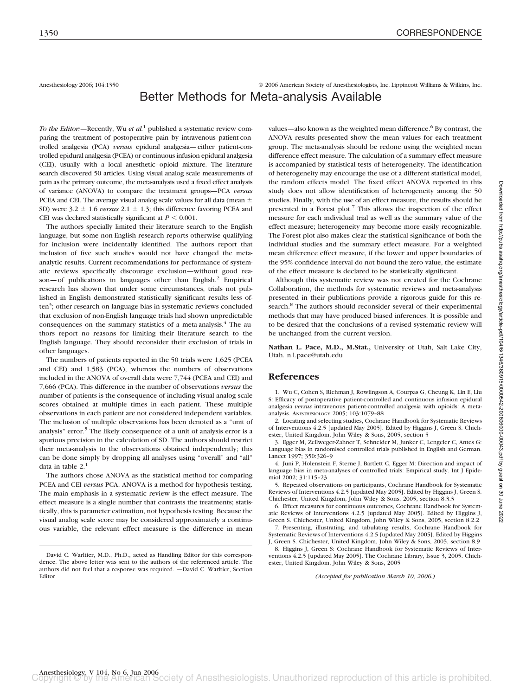Anesthesiology 2006; 104:1350 © 2006 American Society of Anesthesiologists, Inc. Lippincott Williams & Wilkins, Inc.

## Better Methods for Meta-analysis Available

*To the Editor:—*Recently, Wu *et al.*<sup>1</sup> published a systematic review comparing the treatment of postoperative pain by intravenous patient-controlled analgesia (PCA) *versus* epidural analgesia—either patient-controlled epidural analgesia (PCEA) or continuous infusion epidural analgesia (CEI), usually with a local anesthetic–opioid mixture. The literature search discovered 50 articles. Using visual analog scale measurements of pain as the primary outcome, the meta-analysis used a fixed effect analysis of variance (ANOVA) to compare the treatment groups—PCA *versus* PCEA and CEI. The average visual analog scale values for all data (mean  $\pm$ SD) were  $3.2 \pm 1.6$  *versus*  $2.1 \pm 1.3$ ; this difference favoring PCEA and CEI was declared statistically significant at  $P \leq 0.001$ .

The authors specially limited their literature search to the English language, but some non-English research reports otherwise qualifying for inclusion were incidentally identified. The authors report that inclusion of five such studies would not have changed the metaanalytic results. Current recommendations for performance of systematic reviews specifically discourage exclusion—without good reason—of publications in languages other than English. $^2$  Empirical research has shown that under some circumstances, trials not published in English demonstrated statistically significant results less often<sup>3</sup>; other research on language bias in systematic reviews concluded that exclusion of non-English language trials had shown unpredictable consequences on the summary statistics of a meta-analysis.<sup>4</sup> The authors report no reasons for limiting their literature search to the English language. They should reconsider their exclusion of trials in other languages.

The numbers of patients reported in the 50 trials were 1,625 (PCEA and CEI) and 1,583 (PCA), whereas the numbers of observations included in the ANOVA of overall data were 7,744 (PCEA and CEI) and 7,666 (PCA). This difference in the number of observations *versus* the number of patients is the consequence of including visual analog scale scores obtained at multiple times in each patient. These multiple observations in each patient are not considered independent variables. The inclusion of multiple observations has been denoted as a "unit of analysis" error.<sup>5</sup> The likely consequence of a unit of analysis error is a spurious precision in the calculation of SD. The authors should restrict their meta-analysis to the observations obtained independently; this can be done simply by dropping all analyses using "overall" and "all" data in table  $2<sup>1</sup>$ 

The authors chose ANOVA as the statistical method for comparing PCEA and CEI *versus* PCA. ANOVA is a method for hypothesis testing. The main emphasis in a systematic review is the effect measure. The effect measure is a single number that contrasts the treatments; statistically, this is parameter estimation, not hypothesis testing. Because the visual analog scale score may be considered approximately a continuous variable, the relevant effect measure is the difference in mean

values—also known as the weighted mean difference.<sup>6</sup> By contrast, the ANOVA results presented show the mean values for each treatment group. The meta-analysis should be redone using the weighted mean difference effect measure. The calculation of a summary effect measure is accompanied by statistical tests of heterogeneity. The identification of heterogeneity may encourage the use of a different statistical model, the random effects model. The fixed effect ANOVA reported in this study does not allow identification of heterogeneity among the 50 studies. Finally, with the use of an effect measure, the results should be presented in a Forest plot.<sup>7</sup> This allows the inspection of the effect measure for each individual trial as well as the summary value of the effect measure; heterogeneity may become more easily recognizable. The Forest plot also makes clear the statistical significance of both the individual studies and the summary effect measure. For a weighted mean difference effect measure, if the lower and upper boundaries of the 95% confidence interval do not bound the zero value, the estimate of the effect measure is declared to be statistically significant.

Although this systematic review was not created for the Cochrane Collaboration, the methods for systematic reviews and meta-analysis presented in their publications provide a rigorous guide for this research.<sup>8</sup> The authors should reconsider several of their experimental methods that may have produced biased inferences. It is possible and to be desired that the conclusions of a revised systematic review will be unchanged from the current version.

**Nathan L. Pace, M.D., M.Stat.,** University of Utah, Salt Lake City, Utah. n.l.pace@utah.edu

#### **References**

1. Wu C, Cohen S, Richman J, Rowlingson A, Courpas G, Cheung K, Lin E, Liu S: Efficacy of postoperative patient-controlled and continuous infusion epidural analgesia *versus* intravenous patient-controlled analgesia with opioids: A metaanalysis. ANESTHESIOLOGY 2005; 103:1079–88

2. Locating and selecting studies, Cochrane Handbook for Systematic Reviews of Interventions 4.2.5 [updated May 2005]. Edited by Higgins J, Green S. Chichester, United Kingdom, John Wiley & Sons, 2005, section 5

3. Egger M, Zellweger-Zahner T, Schneider M, Junker C, Lengeler C, Antes G: Language bias in randomised controlled trials published in English and German. Lancet 1997; 350:326–9

4. Juni P, Holenstein F, Sterne J, Bartlett C, Egger M: Direction and impact of language bias in meta-analyses of controlled trials: Empirical study. Int J Epidemiol 2002; 31:115–23

5. Repeated observations on participants, Cochrane Handbook for Systematic Reviews of Interventions 4.2.5 [updated May 2005]. Edited by Higgins J, Green S. Chichester, United Kingdom, John Wiley & Sons, 2005, section 8.3.3

6. Effect measures for continuous outcomes, Cochrane Handbook for Systematic Reviews of Interventions 4.2.5 [updated May 2005]. Edited by Higgins J, Green S. Chichester, United Kingdom, John Wiley & Sons, 2005, section 8.2.2

7. Presenting, illustrating, and tabulating results, Cochrane Handbook for Systematic Reviews of Interventions 4.2.5 [updated May 2005]. Edited by Higgins J, Green S. Chichester, United Kingdom, John Wiley & Sons, 2005, section 8.9

8. Higgins J, Green S: Cochrane Handbook for Systematic Reviews of Interventions 4.2.5 [updated May 2005]. The Cochrane Library, Issue 3, 2005. Chichester, United Kingdom, John Wiley & Sons, 2005

*(Accepted for publication March 10, 2006.)*

David C. Warltier, M.D., Ph.D., acted as Handling Editor for this correspondence. The above letter was sent to the authors of the referenced article. The authors did not feel that a response was required. —David C. Warltier, Section Editor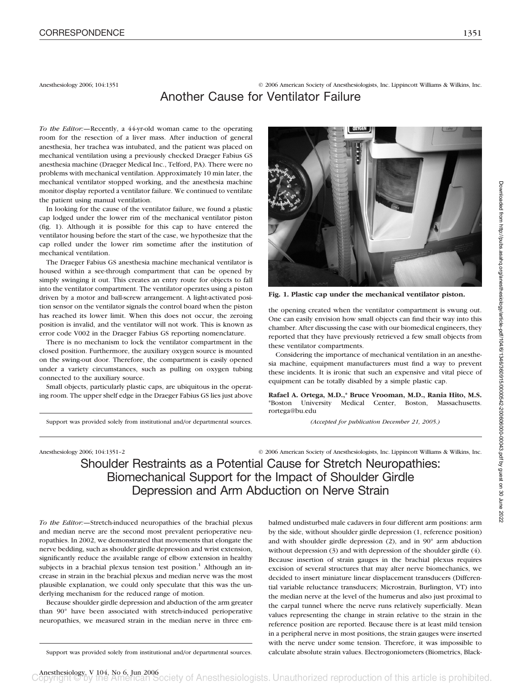Anesthesiology 2006; 104:1351 © 2006 American Society of Anesthesiologists, Inc. Lippincott Williams & Wilkins, Inc. Another Cause for Ventilator Failure

*To the Editor:—*Recently, a 44-yr-old woman came to the operating room for the resection of a liver mass. After induction of general anesthesia, her trachea was intubated, and the patient was placed on mechanical ventilation using a previously checked Draeger Fabius GS anesthesia machine (Draeger Medical Inc., Telford, PA). There were no problems with mechanical ventilation. Approximately 10 min later, the mechanical ventilator stopped working, and the anesthesia machine monitor display reported a ventilator failure. We continued to ventilate the patient using manual ventilation.

In looking for the cause of the ventilator failure, we found a plastic cap lodged under the lower rim of the mechanical ventilator piston (fig. 1). Although it is possible for this cap to have entered the ventilator housing before the start of the case, we hypothesize that the cap rolled under the lower rim sometime after the institution of mechanical ventilation.

The Draeger Fabius GS anesthesia machine mechanical ventilator is housed within a see-through compartment that can be opened by simply swinging it out. This creates an entry route for objects to fall into the ventilator compartment. The ventilator operates using a piston driven by a motor and ball-screw arrangement. A light-activated position sensor on the ventilator signals the control board when the piston has reached its lower limit. When this does not occur, the zeroing position is invalid, and the ventilator will not work. This is known as error code V002 in the Draeger Fabius GS reporting nomenclature.

There is no mechanism to lock the ventilator compartment in the closed position. Furthermore, the auxiliary oxygen source is mounted on the swing-out door. Therefore, the compartment is easily opened under a variety circumstances, such as pulling on oxygen tubing connected to the auxiliary source.

Small objects, particularly plastic caps, are ubiquitous in the operating room. The upper shelf edge in the Draeger Fabius GS lies just above

Support was provided solely from institutional and/or departmental sources.

the opening created when the ventilator compartment is swung out. **Fig. 1. Plastic cap under the mechanical ventilator piston.**

One can easily envision how small objects can find their way into this chamber. After discussing the case with our biomedical engineers, they reported that they have previously retrieved a few small objects from these ventilator compartments.

Considering the importance of mechanical ventilation in an anesthesia machine, equipment manufacturers must find a way to prevent these incidents. It is ironic that such an expensive and vital piece of equipment can be totally disabled by a simple plastic cap.

**Rafael A. Ortega, M.D.,\* Bruce Vrooman, M.D., Rania Hito, M.S.** \*Boston University Medical Center, Boston, Massachusetts. rortega@bu.edu

*(Accepted for publication December 21, 2005.)*

Anesthesiology 2006; 104:1351–2 © 2006 American Society of Anesthesiologists, Inc. Lippincott Williams & Wilkins, Inc.

Shoulder Restraints as a Potential Cause for Stretch Neuropathies: Biomechanical Support for the Impact of Shoulder Girdle Depression and Arm Abduction on Nerve Strain

*To the Editor:—*Stretch-induced neuropathies of the brachial plexus and median nerve are the second most prevalent perioperative neuropathies. In 2002, we demonstrated that movements that elongate the nerve bedding, such as shoulder girdle depression and wrist extension, significantly reduce the available range of elbow extension in healthy subjects in a brachial plexus tension test position.<sup>1</sup> Although an increase in strain in the brachial plexus and median nerve was the most plausible explanation, we could only speculate that this was the underlying mechanism for the reduced range of motion.

Because shoulder girdle depression and abduction of the arm greater than 90° have been associated with stretch-induced perioperative neuropathies, we measured strain in the median nerve in three em-

Support was provided solely from institutional and/or departmental sources.

balmed undisturbed male cadavers in four different arm positions: arm by the side, without shoulder girdle depression (1, reference position) and with shoulder girdle depression (2), and in 90° arm abduction without depression (3) and with depression of the shoulder girdle (4). Because insertion of strain gauges in the brachial plexus requires excision of several structures that may alter nerve biomechanics, we decided to insert miniature linear displacement transducers (Differential variable reluctance transducers; Microstrain, Burlington, VT) into the median nerve at the level of the humerus and also just proximal to the carpal tunnel where the nerve runs relatively superficially. Mean values representing the change in strain relative to the strain in the reference position are reported. Because there is at least mild tension in a peripheral nerve in most positions, the strain gauges were inserted with the nerve under some tension. Therefore, it was impossible to calculate absolute strain values. Electrogoniometers (Biometrics, Black-

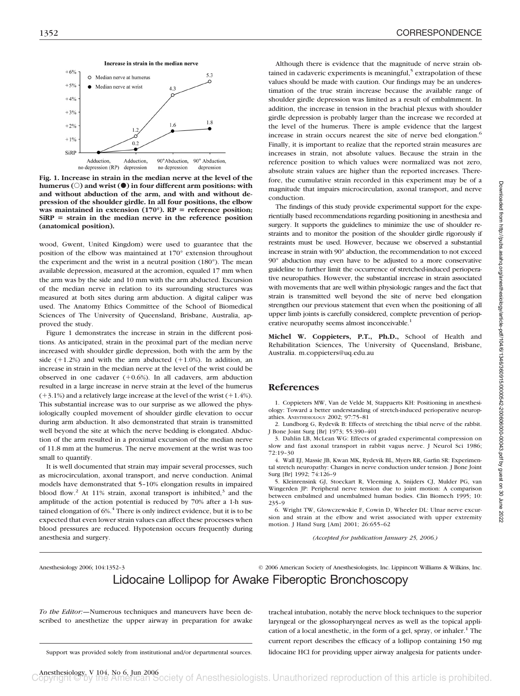

**Fig. 1. Increase in strain in the median nerve at the level of the humerus (**Œ**) and wrist () in four different arm positions: with and without abduction of the arm, and with and without depression of the shoulder girdle. In all four positions, the elbow** was maintained in extension (170°). RP = reference position; **SiRP strain in the median nerve in the reference position (anatomical position).**

wood, Gwent, United Kingdom) were used to guarantee that the position of the elbow was maintained at 170° extension throughout the experiment and the wrist in a neutral position (180°). The mean available depression, measured at the acromion, equaled 17 mm when the arm was by the side and 10 mm with the arm abducted. Excursion of the median nerve in relation to its surrounding structures was measured at both sites during arm abduction. A digital caliper was used. The Anatomy Ethics Committee of the School of Biomedical Sciences of The University of Queensland, Brisbane, Australia, approved the study.

Figure 1 demonstrates the increase in strain in the different positions. As anticipated, strain in the proximal part of the median nerve increased with shoulder girdle depression, both with the arm by the side  $(+1.2%)$  and with the arm abducted  $(+1.0%)$ . In addition, an increase in strain in the median nerve at the level of the wrist could be observed in one cadaver  $(+0.6%)$ . In all cadavers, arm abduction resulted in a large increase in nerve strain at the level of the humerus  $(+3.1%)$  and a relatively large increase at the level of the wrist  $(+1.4%)$ . This substantial increase was to our surprise as we allowed the physiologically coupled movement of shoulder girdle elevation to occur during arm abduction. It also demonstrated that strain is transmitted well beyond the site at which the nerve bedding is elongated. Abduction of the arm resulted in a proximal excursion of the median nerve of 11.8 mm at the humerus. The nerve movement at the wrist was too small to quantify.

It is well documented that strain may impair several processes, such as microcirculation, axonal transport, and nerve conduction. Animal models have demonstrated that 5–10% elongation results in impaired blood flow.<sup>2</sup> At 11% strain, axonal transport is inhibited,<sup>3</sup> and the amplitude of the action potential is reduced by 70% after a 1-h sustained elongation of  $6\%$ .<sup>4</sup> There is only indirect evidence, but it is to be expected that even lower strain values can affect these processes when blood pressures are reduced. Hypotension occurs frequently during anesthesia and surgery.

Although there is evidence that the magnitude of nerve strain obtained in cadaveric experiments is meaningful,<sup>5</sup> extrapolation of these values should be made with caution. Our findings may be an underestimation of the true strain increase because the available range of shoulder girdle depression was limited as a result of embalmment. In addition, the increase in tension in the brachial plexus with shoulder girdle depression is probably larger than the increase we recorded at the level of the humerus. There is ample evidence that the largest increase in strain occurs nearest the site of nerve bed elongation.<sup>6</sup> Finally, it is important to realize that the reported strain measures are increases in strain, not absolute values. Because the strain in the reference position to which values were normalized was not zero, absolute strain values are higher than the reported increases. Therefore, the cumulative strain recorded in this experiment may be of a magnitude that impairs microcirculation, axonal transport, and nerve conduction.

The findings of this study provide experimental support for the experientially based recommendations regarding positioning in anesthesia and surgery. It supports the guidelines to minimize the use of shoulder restraints and to monitor the position of the shoulder girdle rigorously if restraints must be used. However, because we observed a substantial increase in strain with 90° abduction, the recommendation to not exceed 90° abduction may even have to be adjusted to a more conservative guideline to further limit the occurrence of stretched-induced perioperative neuropathies. However, the substantial increase in strain associated with movements that are well within physiologic ranges and the fact that strain is transmitted well beyond the site of nerve bed elongation strengthen our previous statement that even when the positioning of all upper limb joints is carefully considered, complete prevention of perioperative neuropathy seems almost inconceivable.<sup>1</sup>

**Michel W. Coppieters, P.T., Ph.D.,** School of Health and Rehabilitation Sciences, The University of Queensland, Brisbane, Australia. m.coppieters@uq.edu.au

#### **References**

1. Coppieters MW, Van de Velde M, Stappaerts KH: Positioning in anesthesiology: Toward a better understanding of stretch-induced perioperative neuropathies. ANESTHESIOLOGY 2002; 97:75–81

2. Lundborg G, Rydevik B: Effects of stretching the tibial nerve of the rabbit. J Bone Joint Surg [Br] 1973; 55:390–401

3. Dahlin LB, McLean WG: Effects of graded experimental compression on slow and fast axonal transport in rabbit vagus nerve. J Neurol Sci 1986; 72:19–30

4. Wall EJ, Massie JB, Kwan MK, Rydevik BL, Myers RR, Garfin SR: Experimental stretch neuropathy: Changes in nerve conduction under tension. J Bone Joint Surg [Br] 1992; 74:126–9

5. Kleinrensink GJ, Stoeckart R, Vleeming A, Snijders CJ, Mulder PG, van Wingerden JP: Peripheral nerve tension due to joint motion: A comparison between embalmed and unembalmed human bodies. Clin Biomech 1995; 10: 235–9

6. Wright TW, Glowczewskie F, Cowin D, Wheeler DL: Ulnar nerve excursion and strain at the elbow and wrist associated with upper extremity motion. J Hand Surg [Am] 2001; 26:655–62

*(Accepted for publication January 25, 2006.)*

Anesthesiology 2006; 104:1352–3 © 2006 American Society of Anesthesiologists, Inc. Lippincott Williams & Wilkins, Inc. Lidocaine Lollipop for Awake Fiberoptic Bronchoscopy

*To the Editor:—*Numerous techniques and maneuvers have been described to anesthetize the upper airway in preparation for awake

tracheal intubation, notably the nerve block techniques to the superior laryngeal or the glossopharyngeal nerves as well as the topical application of a local anesthetic, in the form of a gel, spray, or inhaler.<sup>1</sup> The current report describes the efficacy of a lollipop containing 150 mg Support was provided solely from institutional and/or departmental sources. lidocaine HCl for providing upper airway analgesia for patients under-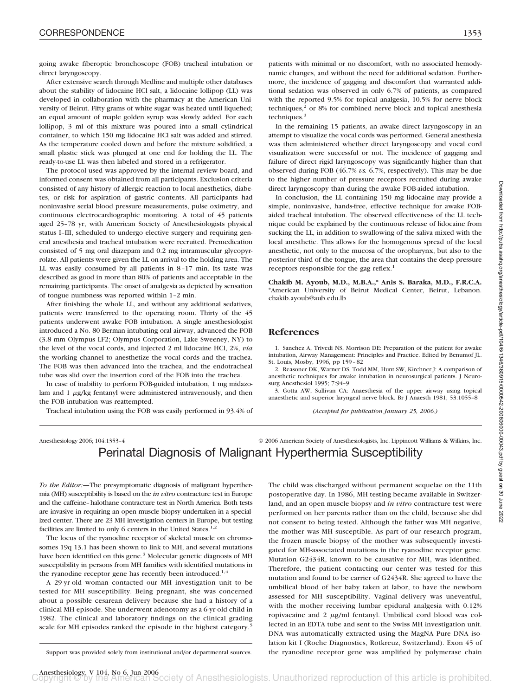going awake fiberoptic bronchoscope (FOB) tracheal intubation or direct laryngoscopy.

After extensive search through Medline and multiple other databases about the stability of lidocaine HCl salt, a lidocaine lollipop (LL) was developed in collaboration with the pharmacy at the American University of Beirut. Fifty grams of white sugar was heated until liquefied; an equal amount of maple golden syrup was slowly added. For each lollipop, 3 ml of this mixture was poured into a small cylindrical container, to which 150 mg lidocaine HCl salt was added and stirred. As the temperature cooled down and before the mixture solidified, a small plastic stick was plunged at one end for holding the LL. The ready-to-use LL was then labeled and stored in a refrigerator.

The protocol used was approved by the internal review board, and informed consent was obtained from all participants. Exclusion criteria consisted of any history of allergic reaction to local anesthetics, diabetes, or risk for aspiration of gastric contents. All participants had noninvasive serial blood pressure measurements, pulse oximetry, and continuous electrocardiographic monitoring. A total of 45 patients aged 25–78 yr, with American Society of Anesthesiologists physical status I–III, scheduled to undergo elective surgery and requiring general anesthesia and tracheal intubation were recruited. Premedication consisted of 5 mg oral diazepam and 0.2 mg intramuscular glycopyrrolate. All patients were given the LL on arrival to the holding area. The LL was easily consumed by all patients in 8 –17 min. Its taste was described as good in more than 80% of patients and acceptable in the remaining participants. The onset of analgesia as depicted by sensation of tongue numbness was reported within 1–2 min.

After finishing the whole LL, and without any additional sedatives, patients were transferred to the operating room. Thirty of the 45 patients underwent awake FOB intubation. A single anesthesiologist introduced a No. 80 Berman intubating oral airway, advanced the FOB (3.8 mm Olympus LF2; Olympus Corporation, Lake Sweeney, NY) to the level of the vocal cords, and injected 2 ml lidocaine HCl, 2%, *via* the working channel to anesthetize the vocal cords and the trachea. The FOB was then advanced into the trachea, and the endotracheal tube was slid over the insertion cord of the FOB into the trachea.

In case of inability to perform FOB-guided intubation, 1 mg midazolam and 1 µg/kg fentanyl were administered intravenously, and then the FOB intubation was reattempted.

Tracheal intubation using the FOB was easily performed in 93.4% of

patients with minimal or no discomfort, with no associated hemodynamic changes, and without the need for additional sedation. Furthermore, the incidence of gagging and discomfort that warranted additional sedation was observed in only 6.7% of patients, as compared with the reported 9.5% for topical analgesia, 10.5% for nerve block techniques, $2$  or 8% for combined nerve block and topical anesthesia techniques. $3$ 

In the remaining 15 patients, an awake direct laryngoscopy in an attempt to visualize the vocal cords was performed. General anesthesia was then administered whether direct laryngoscopy and vocal cord visualization were successful or not. The incidence of gagging and failure of direct rigid laryngoscopy was significantly higher than that observed during FOB (46.7% *vs.* 6.7%, respectively). This may be due to the higher number of pressure receptors recruited during awake direct laryngoscopy than during the awake FOB-aided intubation.

In conclusion, the LL containing 150 mg lidocaine may provide a simple, noninvasive, hands-free, effective technique for awake FOBaided tracheal intubation. The observed effectiveness of the LL technique could be explained by the continuous release of lidocaine from sucking the LL, in addition to swallowing of the saliva mixed with the local anesthetic. This allows for the homogenous spread of the local anesthetic, not only to the mucosa of the oropharynx, but also to the posterior third of the tongue, the area that contains the deep pressure receptors responsible for the gag reflex.<sup>1</sup>

**Chakib M. Ayoub, M.D., M.B.A.,\* Anis S. Baraka, M.D., F.R.C.A.** \*American University of Beirut Medical Center, Beirut, Lebanon. chakib.ayoub@aub.edu.lb

#### **References**

1. Sanchez A, Trivedi NS, Morrison DE: Preparation of the patient for awake intubation, Airway Management: Principles and Practice. Edited by Benumof JL. St. Louis, Mosby, 1996, pp 159 – 82

2. Reasoner DK, Warner DS, Todd MM, Hunt SW, Kirchner J: A comparison of anesthetic techniques for awake intubation in neurosurgical patients. J Neurosurg Anesthesiol 1995; 7:94–9

3. Gotta AW, Sullivan CA: Anaesthesia of the upper airway using topical anaesthetic and superior laryngeal nerve block. Br J Anaesth 1981; 53:1055–8

*(Accepted for publication January 25, 2006.)*

### Anesthesiology 2006; 104:1353–4 © 2006 American Society of Anesthesiologists, Inc. Lippincott Williams & Wilkins, Inc. Perinatal Diagnosis of Malignant Hyperthermia Susceptibility

*To the Editor:—*The presymptomatic diagnosis of malignant hyperthermia (MH) susceptibility is based on the *in vitro* contracture test in Europe and the caffeine–halothane contracture test in North America. Both tests are invasive in requiring an open muscle biopsy undertaken in a specialized center. There are 23 MH investigation centers in Europe, but testing facilities are limited to only  $6$  centers in the United States.<sup>1,2</sup>

The locus of the ryanodine receptor of skeletal muscle on chromosomes 19q 13.1 has been shown to link to MH, and several mutations have been identified on this gene.<sup>3</sup> Molecular genetic diagnosis of MH susceptibility in persons from MH families with identified mutations in the ryanodine receptor gene has recently been introduced.<sup>1,4</sup>

A 29-yr-old woman contacted our MH investigation unit to be tested for MH susceptibility. Being pregnant, she was concerned about a possible cesarean delivery because she had a history of a clinical MH episode. She underwent adenotomy as a 6-yr-old child in 1982. The clinical and laboratory findings on the clinical grading scale for MH episodes ranked the episode in the highest category.<sup>5</sup>

Support was provided solely from institutional and/or departmental sources. the ryanodine receptor gene was amplified by polymerase chain

The child was discharged without permanent sequelae on the 11th postoperative day. In 1986, MH testing became available in Switzerland, and an open muscle biopsy and *in vitro* contracture test were performed on her parents rather than on the child, because she did not consent to being tested. Although the father was MH negative, the mother was MH susceptible. As part of our research program, the frozen muscle biopsy of the mother was subsequently investigated for MH-associated mutations in the ryanodine receptor gene. Mutation G2434R, known to be causative for MH, was identified. Therefore, the patient contacting our center was tested for this mutation and found to be carrier of G2434R. She agreed to have the umbilical blood of her baby taken at labor, to have the newborn assessed for MH susceptibility. Vaginal delivery was uneventful, with the mother receiving lumbar epidural analgesia with 0.12% ropivacaine and 2 µg/ml fentanyl. Umbilical cord blood was collected in an EDTA tube and sent to the Swiss MH investigation unit. DNA was automatically extracted using the MagNA Pure DNA isolation kit I (Roche Diagnostics, Rotkreuz, Switzerland). Exon 45 of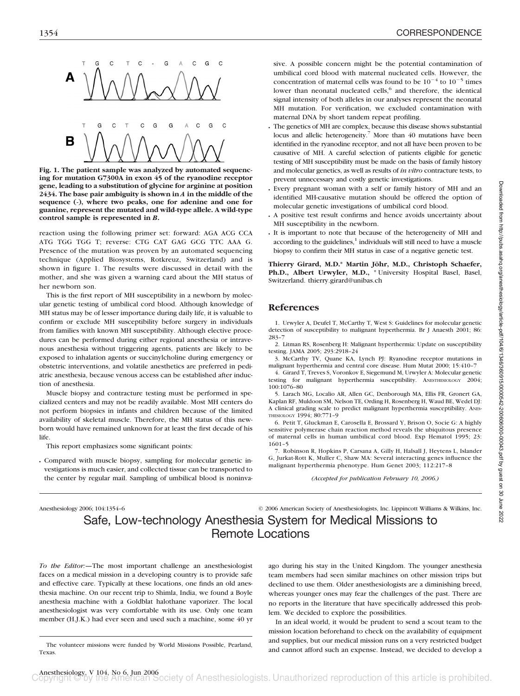



**Fig. 1. The patient sample was analyzed by automated sequencing for mutation G7300A in exon 45 of the ryanodine receptor gene, leading to a substitution of glycine for arginine at position 2434. The base pair ambiguity is shown in** *A* **in the middle of the sequence (-), where two peaks, one for adenine and one for guanine, represent the mutated and wild-type allele. A wild-type control sample is represented in** *B***.**

reaction using the following primer set: forward: AGA ACG CCA ATG TGG TGG T; reverse: CTG CAT GAG GCG TTC AAA G. Presence of the mutation was proven by an automated sequencing technique (Applied Biosystems, Rotkreuz, Switzerland) and is shown in figure 1. The results were discussed in detail with the mother, and she was given a warning card about the MH status of her newborn son.

This is the first report of MH susceptibility in a newborn by molecular genetic testing of umbilical cord blood. Although knowledge of MH status may be of lesser importance during daily life, it is valuable to confirm or exclude MH susceptibility before surgery in individuals from families with known MH susceptibility. Although elective procedures can be performed during either regional anesthesia or intravenous anesthesia without triggering agents, patients are likely to be exposed to inhalation agents or succinylcholine during emergency or obstetric interventions, and volatile anesthetics are preferred in pediatric anesthesia, because venous access can be established after induction of anesthesia.

Muscle biopsy and contracture testing must be performed in specialized centers and may not be readily available. Most MH centers do not perform biopsies in infants and children because of the limited availability of skeletal muscle. Therefore, the MH status of this newborn would have remained unknown for at least the first decade of his life.

This report emphasizes some significant points:

● Compared with muscle biopsy, sampling for molecular genetic investigations is much easier, and collected tissue can be transported to the center by regular mail. Sampling of umbilical blood is noninva-

sive. A possible concern might be the potential contamination of umbilical cord blood with maternal nucleated cells. However, the concentration of maternal cells was found to be  $10^{-4}$  to  $10^{-5}$  times lower than neonatal nucleated cells, $<sup>6</sup>$  and therefore, the identical</sup> signal intensity of both alleles in our analyses represent the neonatal MH mutation. For verification, we excluded contamination with maternal DNA by short tandem repeat profiling.

- The genetics of MH are complex, because this disease shows substantial locus and allelic heterogeneity.<sup>7</sup> More than 40 mutations have been identified in the ryanodine receptor, and not all have been proven to be causative of MH. A careful selection of patients eligible for genetic testing of MH susceptibility must be made on the basis of family history and molecular genetics, as well as results of *in vitro* contracture tests, to prevent unnecessary and costly genetic investigations.
- Every pregnant woman with a self or family history of MH and an identified MH-causative mutation should be offered the option of molecular genetic investigations of umbilical cord blood.
- . A positive test result confirms and hence avoids uncertainty about MH susceptibility in the newborn.
- It is important to note that because of the heterogeneity of MH and according to the guidelines, $<sup>1</sup>$  individuals will still need to have a muscle</sup> biopsy to confirm their MH status in case of a negative genetic test.

Thierry Girard, M.D.\* Martin Jöhr, M.D., Christoph Schaefer, **Ph.D., Albert Urwyler, M.D.,** \* University Hospital Basel, Basel, Switzerland. thierry.girard@unibas.ch

#### **References**

1. Urwyler A, Deufel T, McCarthy T, West S: Guidelines for molecular genetic detection of susceptibility to malignant hyperthermia. Br J Anaesth 2001; 86: 283–7

2. Litman RS, Rosenberg H: Malignant hyperthermia: Update on susceptibility testing. JAMA 2005; 293:2918–24

3. McCarthy TV, Quane KA, Lynch PJ: Ryanodine receptor mutations in malignant hyperthermia and central core disease. Hum Mutat 2000; 15:410–7

4. Girard T, Treves S, Voronkov E, Siegemund M, Urwyler A: Molecular genetic testing for malignant hyperthermia susceptibility. ANESTHESIOLOGY 100:1076–80

5. Larach MG, Localio AR, Allen GC, Denborough MA, Ellis FR, Gronert GA, Kaplan RF, Muldoon SM, Nelson TE, Ording H, Rosenberg H, Waud BE, Wedel DJ: A clinical grading scale to predict malignant hyperthermia susceptibility. ANES-THESIOLOGY 1994; 80:771–9

6. Petit T, Gluckman E, Carosella E, Brossard Y, Brison O, Socie G: A highly sensitive polymerase chain reaction method reveals the ubiquitous presence of maternal cells in human umbilical cord blood. Exp Hematol 1995; 23: 1601–5

7. Robinson R, Hopkins P, Carsana A, Gilly H, Halsall J, Heytens L, Islander G, Jurkat-Rott K, Muller C, Shaw MA: Several interacting genes influence the malignant hyperthermia phenotype. Hum Genet 2003; 112:217–8

*(Accepted for publication February 10, 2006.)*

Anesthesiology 2006; 104:1354–6 © 2006 American Society of Anesthesiologists, Inc. Lippincott Williams & Wilkins, Inc.

### Safe, Low-technology Anesthesia System for Medical Missions to Remote Locations

*To the Editor:—*The most important challenge an anesthesiologist faces on a medical mission in a developing country is to provide safe and effective care. Typically at these locations, one finds an old anesthesia machine. On our recent trip to Shimla, India, we found a Boyle anesthesia machine with a Goldblat halothane vaporizer. The local anesthesiologist was very comfortable with its use. Only one team member (H.J.K.) had ever seen and used such a machine, some 40 yr

ago during his stay in the United Kingdom. The younger anesthesia team members had seen similar machines on other mission trips but declined to use them. Older anesthesiologists are a diminishing breed, whereas younger ones may fear the challenges of the past. There are no reports in the literature that have specifically addressed this problem. We decided to explore the possibilities.

In an ideal world, it would be prudent to send a scout team to the mission location beforehand to check on the availability of equipment and supplies, but our medical mission runs on a very restricted budget The volunteer missions were funded by World Missions Possible, Pearland, and supplies, but our included infission runs on a very restricted budget

Texas.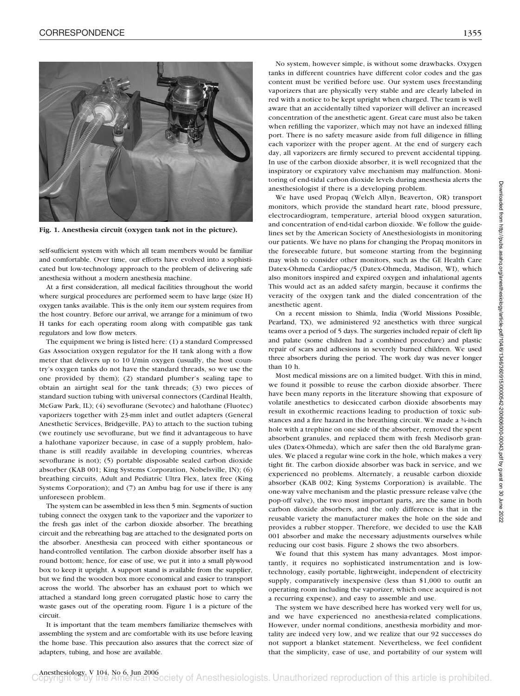

**Fig. 1. Anesthesia circuit (oxygen tank not in the picture).**

self-sufficient system with which all team members would be familiar and comfortable. Over time, our efforts have evolved into a sophisticated but low-technology approach to the problem of delivering safe anesthesia without a modern anesthesia machine.

At a first consideration, all medical facilities throughout the world where surgical procedures are performed seem to have large (size H) oxygen tanks available. This is the only item our system requires from the host country. Before our arrival, we arrange for a minimum of two H tanks for each operating room along with compatible gas tank regulators and low flow meters.

The equipment we bring is listed here: (1) a standard Compressed Gas Association oxygen regulator for the H tank along with a flow meter that delivers up to 10 l/min oxygen (usually, the host country's oxygen tanks do not have the standard threads, so we use the one provided by them); (2) standard plumber's sealing tape to obtain an airtight seal for the tank threads; (3) two pieces of standard suction tubing with universal connectors (Cardinal Health, McGaw Park, IL); (4) sevoflurane (Sevotec) and halothane (Fluotec) vaporizers together with 23-mm inlet and outlet adapters (General Anesthetic Services, Bridgeville, PA) to attach to the suction tubing (we routinely use sevoflurane, but we find it advantageous to have a halothane vaporizer because, in case of a supply problem, halothane is still readily available in developing countries, whereas sevoflurane is not); (5) portable disposable sealed carbon dioxide absorber (KAB 001; King Systems Corporation, Nobelsville, IN); (6) breathing circuits, Adult and Pediatric Ultra Flex, latex free (King Systems Corporation); and (7) an Ambu bag for use if there is any unforeseen problem.

The system can be assembled in less then 5 min. Segments of suction tubing connect the oxygen tank to the vaporizer and the vaporizer to the fresh gas inlet of the carbon dioxide absorber. The breathing circuit and the rebreathing bag are attached to the designated ports on the absorber. Anesthesia can proceed with either spontaneous or hand-controlled ventilation. The carbon dioxide absorber itself has a round bottom; hence, for ease of use, we put it into a small plywood box to keep it upright. A support stand is available from the supplier, but we find the wooden box more economical and easier to transport across the world. The absorber has an exhaust port to which we attached a standard long green corrugated plastic hose to carry the waste gases out of the operating room. Figure 1 is a picture of the circuit.

It is important that the team members familiarize themselves with assembling the system and are comfortable with its use before leaving the home base. This precaution also assures that the correct size of adapters, tubing, and hose are available.

No system, however simple, is without some drawbacks. Oxygen tanks in different countries have different color codes and the gas content must be verified before use. Our system uses freestanding vaporizers that are physically very stable and are clearly labeled in red with a notice to be kept upright when charged. The team is well aware that an accidentally tilted vaporizer will deliver an increased concentration of the anesthetic agent. Great care must also be taken when refilling the vaporizer, which may not have an indexed filling port. There is no safety measure aside from full diligence in filling each vaporizer with the proper agent. At the end of surgery each day, all vaporizers are firmly secured to prevent accidental tipping. In use of the carbon dioxide absorber, it is well recognized that the inspiratory or expiratory valve mechanism may malfunction. Monitoring of end-tidal carbon dioxide levels during anesthesia alerts the anesthesiologist if there is a developing problem.

We have used Propaq (Welch Allyn, Beaverton, OR) transport monitors, which provide the standard heart rate, blood pressure, electrocardiogram, temperature, arterial blood oxygen saturation, and concentration of end-tidal carbon dioxide. We follow the guidelines set by the American Society of Anesthesiologists in monitoring our patients. We have no plans for changing the Propaq monitors in the foreseeable future, but someone starting from the beginning may wish to consider other monitors, such as the GE Health Care Datex-Ohmeda Cardiopac/5 (Datex-Ohmeda, Madison, WI), which also monitors inspired and expired oxygen and inhalational agents This would act as an added safety margin, because it confirms the veracity of the oxygen tank and the dialed concentration of the anesthetic agent.

On a recent mission to Shimla, India (World Missions Possible, Pearland, TX), we administered 92 anesthetics with three surgical teams over a period of 5 days. The surgeries included repair of cleft lip and palate (some children had a combined procedure) and plastic repair of scars and adhesions in severely burned children. We used three absorbers during the period. The work day was never longer than 10 h.

Most medical missions are on a limited budget. With this in mind, we found it possible to reuse the carbon dioxide absorber. There have been many reports in the literature showing that exposure of volatile anesthetics to desiccated carbon dioxide absorbents may result in exothermic reactions leading to production of toxic substances and a fire hazard in the breathing circuit. We made a ¾-inch hole with a trephine on one side of the absorber, removed the spent absorbent granules, and replaced them with fresh Medisorb granules (Datex-Ohmeda), which are safer then the old Baralyme granules. We placed a regular wine cork in the hole, which makes a very tight fit. The carbon dioxide absorber was back in service, and we experienced no problems. Alternately, a reusable carbon dioxide absorber (KAB 002; King Systems Corporation) is available. The one-way valve mechanism and the plastic pressure release valve (the pop-off valve), the two most important parts, are the same in both carbon dioxide absorbers, and the only difference is that in the reusable variety the manufacturer makes the hole on the side and provides a rubber stopper. Therefore, we decided to use the KAB 001 absorber and make the necessary adjustments ourselves while reducing our cost basis. Figure 2 shows the two absorbers.

We found that this system has many advantages. Most importantly, it requires no sophisticated instrumentation and is lowtechnology, easily portable, lightweight, independent of electricity supply, comparatively inexpensive (less than \$1,000 to outfit an operating room including the vaporizer, which once acquired is not a recurring expense), and easy to assemble and use.

The system we have described here has worked very well for us, and we have experienced no anesthesia-related complications. However, under normal conditions, anesthesia morbidity and mortality are indeed very low, and we realize that our 92 successes do not support a blanket statement. Nevertheless, we feel confident that the simplicity, ease of use, and portability of our system will